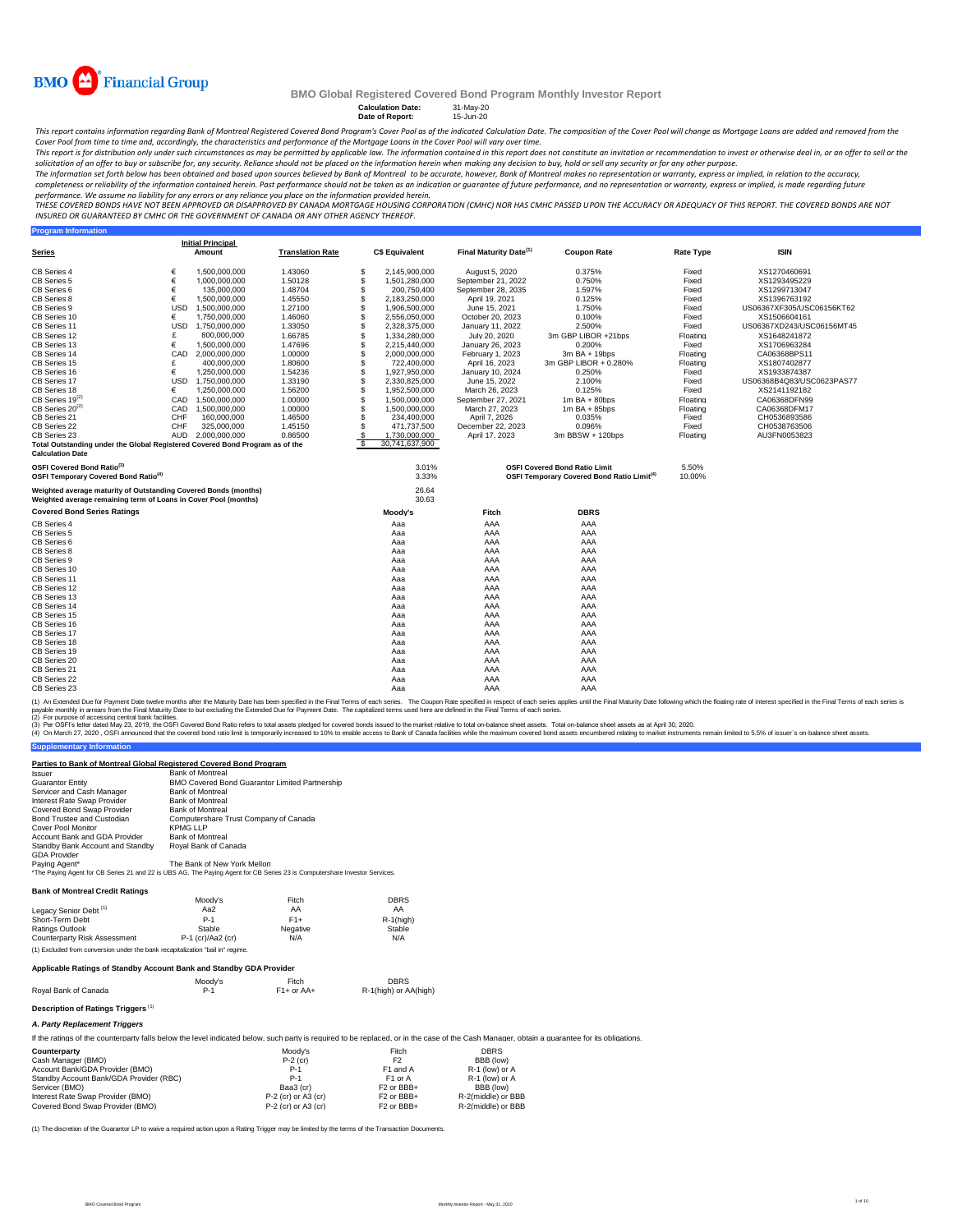

**Program Information**

### **BMO Global Registered Covered Bond Program Monthly Investor Report**

# **Calculation Date:** 31-May-20 **Date of Report:** 15-Jun-20

This report contains information regarding Bank of Montreal Registered Covered Bond Program's Cover Pool as of the indicated Calculation Date. The composition of the Cover Pool will change as Mortgage Loans are added and r

Cover Pool from time to time and, accordingly, the characteristics and performance of the Mortgage Loans in the Cover Pool will vary over time.<br>This report is for distribution only under such creamstances as may be permitt solicitation of an offer to buy or subscribe for, any security. Reliance should not be placed on the information herein when making any decision to buy, hold or sell any security or for any other purpose.<br>The information s

completeness or reliability of the information contained herein. Past performance should not be taken as an indication or guarantee of future performance, and no representation or warranty, express or implied, is made rega

performance. We assume no liability for any errors or any reliance you place on the information provided herein.<br>THESE COVERED BONDS HAVE NOT BEEN APPROVED BY DANGED BY CANADA MORTGAGE HOUSING CORPORATION (CMHC) NOR HAS CM *INSURED OR GUARANTEED BY CMHC OR THE GOVERNMENT OF CANADA OR ANY OTHER AGENCY THEREOF.*

|                                                                              |            | <b>Initial Principal</b> |                         |    |                       |                                    |                                                              |                  |                           |
|------------------------------------------------------------------------------|------------|--------------------------|-------------------------|----|-----------------------|------------------------------------|--------------------------------------------------------------|------------------|---------------------------|
| Series                                                                       |            | Amount                   | <b>Translation Rate</b> |    | <b>C\$ Equivalent</b> | Final Maturity Date <sup>(1)</sup> | <b>Coupon Rate</b>                                           | <b>Rate Type</b> | <b>ISIN</b>               |
| CB Series 4                                                                  | €          | 1.500.000.000            | 1.43060                 | S  | 2.145.900.000         | August 5, 2020                     | 0.375%                                                       | Fixed            | XS1270460691              |
| CB Series 5                                                                  | €          | 1,000,000,000            | 1.50128                 | \$ | 1,501,280,000         | September 21, 2022                 | 0.750%                                                       | Fixed            | XS1293495229              |
| CB Series 6                                                                  | €          | 135.000.000              | 1.48704                 | \$ | 200.750.400           | September 28, 2035                 | 1.597%                                                       | Fixed            | XS1299713047              |
| CB Series 8                                                                  | €          | 1,500,000,000            | 1.45550                 | S  | 2,183,250,000         | April 19, 2021                     | 0.125%                                                       | Fixed            | XS1396763192              |
| CB Series 9                                                                  | <b>USD</b> | 1.500.000.000            | 1.27100                 | \$ | 1.906.500.000         | June 15, 2021                      | 1.750%                                                       | Fixed            | US06367XF305/USC06156KT62 |
| CB Series 10                                                                 | €          | 1,750,000,000            | 1.46060                 | \$ | 2,556,050,000         | October 20, 2023                   | 0.100%                                                       | Fixed            | XS1506604161              |
| CB Series 11                                                                 | <b>USD</b> | 1.750.000.000            | 1.33050                 | \$ | 2.328.375.000         | January 11, 2022                   | 2.500%                                                       | Fixed            | US06367XD243/USC06156MT45 |
| CB Series 12                                                                 | £          | 800,000,000              | 1.66785                 | S  | 1,334,280,000         | July 20, 2020                      | 3m GBP LIBOR +21bps                                          | Floating         | XS1648241872              |
| CB Series 13                                                                 | €          | 1,500,000,000            | 1.47696                 | \$ | 2,215,440,000         | January 26, 2023                   | 0.200%                                                       | Fixed            | XS1706963284              |
| CB Series 14                                                                 | CAD        | 2.000.000.000            | 1.00000                 | \$ | 2.000.000.000         | February 1, 2023                   | $3m$ BA + 19bps                                              | Floating         | CA06368BPS11              |
| CB Series 15                                                                 | £          | 400,000,000              | 1.80600                 | \$ | 722,400,000           | April 16, 2023                     | 3m GBP LIBOR + 0.280%                                        | Floating         | XS1807402877              |
| CB Series 16                                                                 | €          | 1,250,000,000            | 1.54236                 | \$ | 1,927,950,000         | January 10, 2024                   | 0.250%                                                       | Fixed            | XS1933874387              |
| CB Series 17                                                                 | <b>USD</b> | 1.750.000.000            | 1.33190                 | \$ | 2.330.825.000         | June 15, 2022                      | 2.100%                                                       | Fixed            | US06368B4Q83/USC0623PAS77 |
| CB Series 18                                                                 | €          | 1,250,000,000            | 1.56200                 | \$ | 1,952,500,000         | March 26, 2023                     | 0.125%                                                       | Fixed            | XS2141192182              |
| $CB$ Series 19 $^{(2)}$                                                      | CAD        | 1.500.000.000            | 1.00000                 | S  | 1.500.000.000         | September 27, 2021                 | $1m$ BA + 80bps                                              | Floating         | CA06368DFN99              |
| CB Series 20 <sup>(2)</sup>                                                  | CAD        | 1.500.000.000            | 1.00000                 | \$ | 1.500.000.000         | March 27, 2023                     | $1m$ BA + 85bps                                              | Floating         | CA06368DFM17              |
| CB Series 21                                                                 | CHF        | 160,000,000              | 1.46500                 | \$ | 234.400.000           | April 7, 2026                      | 0.035%                                                       | Fixed            | CH0536893586              |
| CB Series 22                                                                 | CHF        | 325,000,000              | 1.45150                 | \$ | 471,737,500           | December 22, 2023                  | 0.096%                                                       | Fixed            | CH0538763506              |
| CB Series 23                                                                 | AUD        | 2.000.000.000            | 0.86500                 | S. | 1.730.000.000         | April 17, 2023                     | 3m BBSW + 120bps                                             | Floating         | AU3FN0053823              |
| Total Outstanding under the Global Registered Covered Bond Program as of the |            |                          |                         |    | 30.741.637.900        |                                    |                                                              |                  |                           |
| <b>Calculation Date</b>                                                      |            |                          |                         |    |                       |                                    |                                                              |                  |                           |
| OSFI Covered Bond Ratio <sup>(3)</sup>                                       |            |                          |                         |    | 3.01%                 |                                    | <b>OSFI Covered Bond Ratio Limit</b>                         | 5.50%            |                           |
| OSFI Temporary Covered Bond Ratio <sup>(4)</sup>                             |            |                          |                         |    | 3.33%                 |                                    | <b>OSFI Temporary Covered Bond Ratio Limit<sup>(4)</sup></b> | 10.00%           |                           |
| Weighted average maturity of Outstanding Covered Bonds (months)              |            |                          |                         |    | 26.64                 |                                    |                                                              |                  |                           |
| Weighted average remaining term of Loans in Cover Pool (months)              |            |                          |                         |    | 30.63                 |                                    |                                                              |                  |                           |
| <b>Covered Bond Series Ratings</b>                                           |            |                          |                         |    | Moody's               | Fitch                              | <b>DBRS</b>                                                  |                  |                           |
| CB Series 4                                                                  |            |                          |                         |    | Aaa                   | AAA                                | AAA                                                          |                  |                           |
| CB Series 5                                                                  |            |                          |                         |    | Aaa                   | AAA                                | AAA                                                          |                  |                           |
| CB Series 6                                                                  |            |                          |                         |    | Aaa                   | AAA                                | AAA                                                          |                  |                           |
| CB Series 8                                                                  |            |                          |                         |    | Aaa                   | AAA                                | AAA                                                          |                  |                           |
| CB Series 9                                                                  |            |                          |                         |    | Aaa                   | AAA                                | AAA                                                          |                  |                           |
| CB Series 10                                                                 |            |                          |                         |    | Aaa                   | AAA                                | AAA                                                          |                  |                           |
| CB Series 11                                                                 |            |                          |                         |    | Aaa                   | AAA                                | AAA                                                          |                  |                           |
| CB Series 12                                                                 |            |                          |                         |    | Aaa                   | AAA                                | AAA                                                          |                  |                           |
| CB Series 13                                                                 |            |                          |                         |    | Aaa                   | AAA                                | AAA                                                          |                  |                           |
| CB Series 14                                                                 |            |                          |                         |    | Aaa                   | AAA                                | AAA                                                          |                  |                           |
| CB Series 15                                                                 |            |                          |                         |    | Aaa                   | AAA                                | AAA                                                          |                  |                           |
| CB Series 16                                                                 |            |                          |                         |    | Aaa                   | AAA                                | AAA                                                          |                  |                           |
| CB Series 17                                                                 |            |                          |                         |    | Aaa                   | AAA                                | AAA                                                          |                  |                           |
| CB Series 18                                                                 |            |                          |                         |    | Aaa                   | AAA                                | AAA                                                          |                  |                           |
| CB Series 19                                                                 |            |                          |                         |    | Aaa                   | AAA                                | AAA                                                          |                  |                           |
| CB Series 20                                                                 |            |                          |                         |    | Aaa                   | AAA                                | AAA                                                          |                  |                           |
| CB Series 21                                                                 |            |                          |                         |    | Aaa                   | AAA                                | AAA                                                          |                  |                           |
| CB Series 22                                                                 |            |                          |                         |    | Aaa                   | AAA                                | AAA                                                          |                  |                           |
| CB Series 23                                                                 |            |                          |                         |    | Aaa                   | AAA                                | AAA                                                          |                  |                           |

(1) An Extended Due for Payment Date twelve months after the Maturity Date has been specified in the Final of each series in the Coupon Rate specified in the Final Toms of each series is applied to the Payment Date. The ca

(2) For purpose of accessing central bank facilities.

(3) Per OSFIs etter dated May 23, 2019, the OSFI Covered bond ratio refers to total assets pledged for covered bond issued to the market relative to tala masket assets. Total on-balance sheet assets and April 3, 2020.<br>(4)

#### Issuer Bank of Montreal Guarantor Entity Servicer and Cash Manager Bank of Montreal Interest Rate Swap Provider Bank of Montreal Covered Bond Swap Provider Bank of Montreal Bond Trustee and Custodian Computershare Trust Company of Canada<br>Cover Pool Monitor KPMG LLP Cover Pool Monitor<br>Account Bank and GDA Provider Bank of Montreal<br>Standby Bank Account and Standby Royal Bank of Ca GDA Provider Royal Bank of Canada **Parties to Bank of Montreal Global Registered Covered Bond Program** BMO Covered Bond Guarantor Limited Partnership<br>Bank of Montreal

Paying Agent\*<br>\*The Paying Agent for CB Series 21 and 22 is UBS AG. The Paying Agent for CB Series 23 is Computershare Investor Services.

#### **Bank of Montreal Credit Ratings**

**Supplementary Information**

|                                                                                | Moodv's             | Fitch    | <b>DBRS</b>  |
|--------------------------------------------------------------------------------|---------------------|----------|--------------|
| Legacy Senior Debt <sup>(1)</sup>                                              | Aa2                 | AA       | AA           |
| Short-Term Debt                                                                | $P-1$               | $F1+$    | $R-1$ (high) |
| Ratings Outlook                                                                | Stable              | Negative | Stable       |
| <b>Counterparty Risk Assessment</b>                                            | $P-1$ (cr)/Aa2 (cr) | N/A      | N/A          |
| (1) Excluded from conversion under the bank recapitalization "bail in" regime. |                     |          |              |

#### **Applicable Ratings of Standby Account Bank and Standby GDA Provider**

| Roval Bank of Canada | Moodv's    | Fitch        | <b>DBRS</b>           |
|----------------------|------------|--------------|-----------------------|
|                      | <b>P.1</b> | $F1+$ or AA+ | R-1(high) or AA(high) |
|                      |            |              |                       |

## **Description of Ratings Triggers** (1)

## *A. Party Replacement Triggers*

If the ratings of the counterparty falls below the level indicated below, such party is required to be replaced, or in the case of the Cash Manager, obtain a guarantee for its obligations.

| Counterparty                            | Moodv's               | Fitch                              | <b>DBRS</b>        |
|-----------------------------------------|-----------------------|------------------------------------|--------------------|
| Cash Manager (BMO)                      | $P-2$ (cr)            | F <sub>2</sub>                     | BBB (low)          |
| Account Bank/GDA Provider (BMO)         | $P-1$                 | F <sub>1</sub> and A               | R-1 (low) or A     |
| Standby Account Bank/GDA Provider (RBC) | $P-1$                 | F <sub>1</sub> or A                | R-1 (low) or A     |
| Servicer (BMO)                          | Baa3 (cr)             | F <sub>2</sub> or BB <sub>B+</sub> | BBB (low)          |
| Interest Rate Swap Provider (BMO)       | $P-2$ (cr) or A3 (cr) | F <sub>2</sub> or BB <sub>+</sub>  | R-2(middle) or BBB |
| Covered Bond Swap Provider (BMO)        | $P-2$ (cr) or A3 (cr) | F <sub>2</sub> or BB <sub>+</sub>  | R-2(middle) or BBB |

(1) The discretion of the Guarantor LP to waive a required action upon a Rating Trigger may be limited by the terms of the Transaction Docu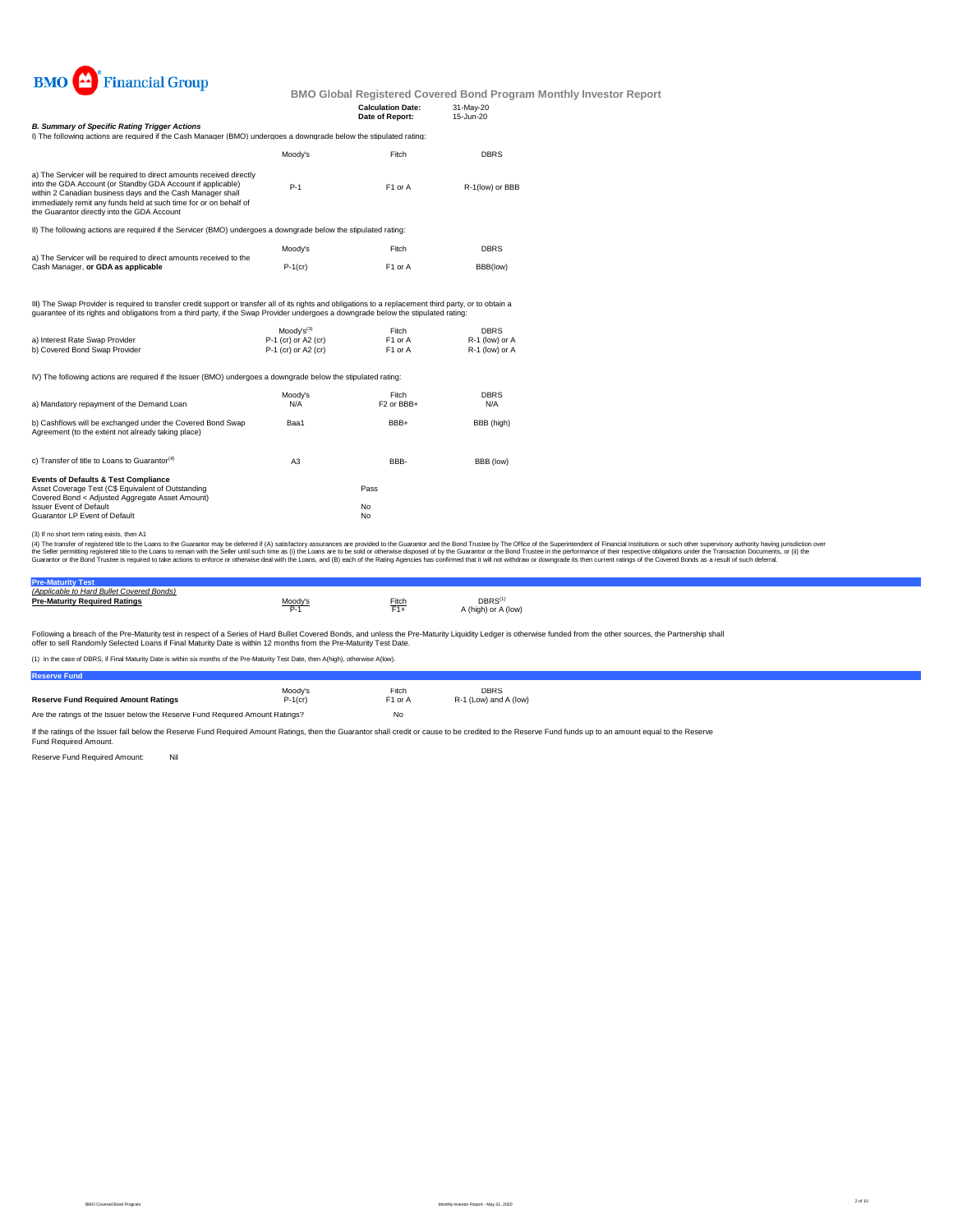

|                                                                                                                                                                                                                                                                                                                       |            | <b>Calculation Date:</b><br>Date of Report: | 31-May-20<br>15-Jun-20 |
|-----------------------------------------------------------------------------------------------------------------------------------------------------------------------------------------------------------------------------------------------------------------------------------------------------------------------|------------|---------------------------------------------|------------------------|
| <b>B. Summary of Specific Rating Trigger Actions</b>                                                                                                                                                                                                                                                                  |            |                                             |                        |
| I) The following actions are required if the Cash Manager (BMO) undergoes a downgrade below the stipulated rating:                                                                                                                                                                                                    |            |                                             |                        |
|                                                                                                                                                                                                                                                                                                                       | Moodv's    | Fitch                                       | <b>DBRS</b>            |
| a) The Servicer will be required to direct amounts received directly<br>into the GDA Account (or Standby GDA Account if applicable)<br>within 2 Canadian business days and the Cash Manager shall<br>immediately remit any funds held at such time for or on behalf of<br>the Guarantor directly into the GDA Account | $P-1$      | F1 or A                                     | R-1(low) or BBB        |
| II) The following actions are required if the Servicer (BMO) undergoes a downgrade below the stipulated rating:                                                                                                                                                                                                       |            |                                             |                        |
| a) The Servicer will be required to direct amounts received to the                                                                                                                                                                                                                                                    | Moodv's    | Fitch                                       | <b>DBRS</b>            |
| Cash Manager, or GDA as applicable                                                                                                                                                                                                                                                                                    | $P-1$ (cr) | F1 or A                                     | BBB(low)               |
| III) The Swap Provider is required to transfer credit support or transfer all of its rights and obligations to a replacement third party, or to obtain a<br>guarantee of its rights and obligations from a third party, if the Swap Provider undergoes a downgrade below the stipulated rating:                       |            |                                             |                        |

Moody's<sup>(3)</sup> Fitch DBRS<br>
P-1 (cr) or A2 (cr) F1 or A R-1 (low) or A<br>
P-1 (cr) or A2 (cr) F1 or A R-1 (low) or A a) Interest Rate Swap Provider P-1 (cr) or A2 (cr) F1 or A R-1 (low) or A b) Covered Bond Swap Provider P-1 (cr) or A2 (cr) F1 or A R-1 (low) or A IV) The following actions are required if the Issuer (BMO) undergoes a downgrade below the stipulated rating: Moody's Fitch DBRS<br>
N/A F2 or BBB+ N/A a) Mandatory repayment of the Demand Loan Baa1 BBB+ BBB (high) c) Transfer of title to Loans to Guarantor<sup>(4)</sup> A3 BBB- BBB (low) **Events of Defaults & Test Compliance**<br>Asset Coverage Test (C\$ Equivalent of Outstanding<br>Covered Bond < Adjusted Aggregate Asset Amount) Issuer Event of Default No. 2006. The Contract of Default No. 2006. No. 2006. No. 2007. No. 2008. No. 2008. No. 2009. No. 2008. No. 2009. No. 2009. No. 2009. No. 2009. No. 2009. No. 2009. No. 2009. No. 2009. No. 2009. No. Guarantor LP Event of Default b) Cashflows will be exchanged under the Covered Bond Swap Agreement (to the extent not already taking place)

(3) If no short term rating exists, then A1

(4) The transfer of registered title to the Loans to the Guarantor may be deferred if (A) satisfactory assurances are provided to the Guarantor and the Bond Trustee by The Office of the Superintendent of Financial Institut

| <b>Pre-Maturity Test</b>                  |        |       |                                          |
|-------------------------------------------|--------|-------|------------------------------------------|
| (Applicable to Hard Bullet Covered Bonds) |        |       |                                          |
| <b>Pre-Maturity Required Ratings</b>      | Moody' | Fitch | $DBRS^{\text{f}}$<br>A (high) or A (low) |

Following a breach of the Pre-Maturity test in respect of a Series of Hard Bullet Covered Bonds, and unless the Pre-Maturity Liquidity Ledger is otherwise funded from the other sources, the Partnership shall

offer to sell Randomly Selected Loans if Final Maturity Date is within 12 months from the Pre-Maturity Test Date. (1) In the Case of Paturity Date is within six months of the Pre-Maturity Test Date, then A(high), otherwise A(high), otherwise A(high), otherwise A(high), otherwise A(high), otherwise A(high), otherwise A(high), otherwise

| (i) in the case of DDRO, if I had watching Date is within six months of the Fre-watching Test Date, then A(high), otherwise A(low). |                       |                  |                                      |  |  |  |  |
|-------------------------------------------------------------------------------------------------------------------------------------|-----------------------|------------------|--------------------------------------|--|--|--|--|
| <b>Reserve Fund</b>                                                                                                                 |                       |                  |                                      |  |  |  |  |
| <b>Reserve Fund Required Amount Ratings</b>                                                                                         | Moody's<br>$P-1$ (cr) | Fitch<br>F1 or A | <b>DBRS</b><br>R-1 (Low) and A (low) |  |  |  |  |
| Are the ratings of the Issuer below the Reserve Fund Required Amount Ratings?                                                       |                       | No               |                                      |  |  |  |  |

If the ratings of the Issuer fall below the Reserve Fund Required Amount Ratings, then the Guarantor shall credit or cause to be credited to the Reserve Fund funds up to an amount equal to the Reserve Fund Required Amount.

Reserve Fund Required Amount: Nil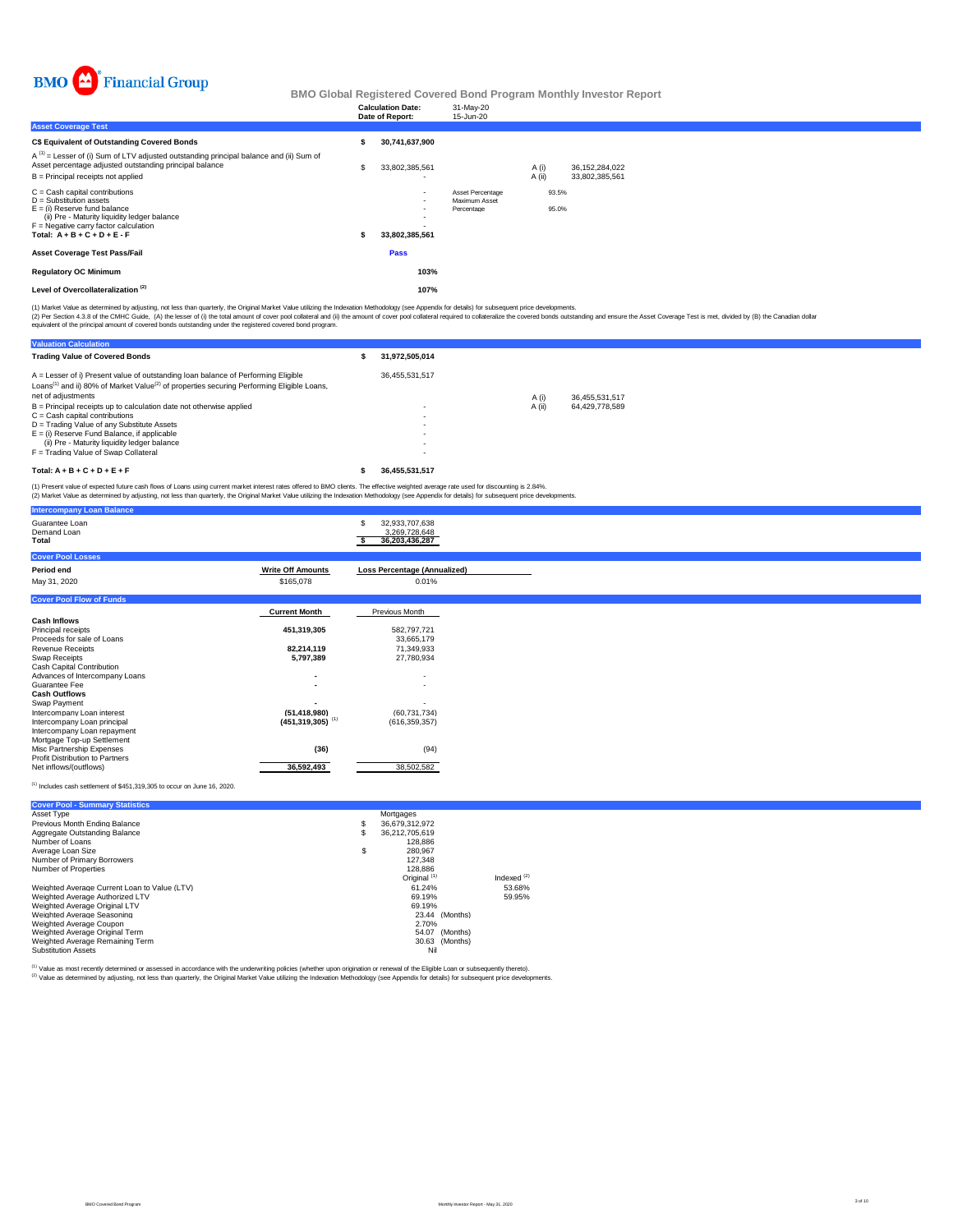

|                                                                                                                                                                                                                      |     | <b>Calculation Date:</b><br>Date of Report: | 31-May-20<br>15-Jun-20                          |                 |                |                                     |  |  |  |
|----------------------------------------------------------------------------------------------------------------------------------------------------------------------------------------------------------------------|-----|---------------------------------------------|-------------------------------------------------|-----------------|----------------|-------------------------------------|--|--|--|
| <b>Asset Coverage Test</b>                                                                                                                                                                                           |     |                                             |                                                 |                 |                |                                     |  |  |  |
| C\$ Equivalent of Outstanding Covered Bonds                                                                                                                                                                          |     | 30,741,637,900                              |                                                 |                 |                |                                     |  |  |  |
| $A^{(1)}$ = Lesser of (i) Sum of LTV adjusted outstanding principal balance and (ii) Sum of<br>Asset percentage adjusted outstanding principal balance<br>B = Principal receipts not applied                         | \$. | 33,802,385,561                              |                                                 | A (i)<br>A (ii) |                | 36, 152, 284, 022<br>33.802.385.561 |  |  |  |
| C = Cash capital contributions<br>D = Substitution assets<br>E = (i) Reserve fund balance<br>(ii) Pre - Maturity liquidity ledger balance<br>F = Negative carry factor calculation<br>Total: $A + B + C + D + E - F$ |     | $\overline{\phantom{0}}$<br>33,802,385,561  | Asset Percentage<br>Maximum Asset<br>Percentage |                 | 93.5%<br>95.0% |                                     |  |  |  |
| Asset Coverage Test Pass/Fail                                                                                                                                                                                        |     | Pass                                        |                                                 |                 |                |                                     |  |  |  |
| <b>Regulatory OC Minimum</b>                                                                                                                                                                                         |     | 103%                                        |                                                 |                 |                |                                     |  |  |  |
| Level of Overcollateralization <sup>(2)</sup>                                                                                                                                                                        |     | 107%                                        |                                                 |                 |                |                                     |  |  |  |
|                                                                                                                                                                                                                      |     |                                             |                                                 |                 |                |                                     |  |  |  |

(1) Market Value as determined by adjusting, not less than quarterly, the Original Market Value utilizing the Indexation Methodology (see Appendix for details) for subsequent price developments.<br>(2) Per Section 4.3.8 of th

| <b>Valuation Calculation</b>                                                                                                                                                                                                 |                          |        |                |
|------------------------------------------------------------------------------------------------------------------------------------------------------------------------------------------------------------------------------|--------------------------|--------|----------------|
| <b>Trading Value of Covered Bonds</b>                                                                                                                                                                                        | 31.972.505.014           |        |                |
| A = Lesser of i) Present value of outstanding loan balance of Performing Eligible<br>Loans <sup>(1)</sup> and ii) 80% of Market Value <sup>(2)</sup> of properties securing Performing Eligible Loans.<br>net of adiustments | 36.455.531.517           | A (i)  | 36.455.531.517 |
| B = Principal receipts up to calculation date not otherwise applied<br>$C =$ Cash capital contributions                                                                                                                      | $\overline{\phantom{0}}$ | A (ii) | 64.429.778.589 |
| D = Trading Value of any Substitute Assets<br>$E =$ (i) Reserve Fund Balance, if applicable                                                                                                                                  |                          |        |                |
| (ii) Pre - Maturity liquidity ledger balance<br>F = Trading Value of Swap Collateral                                                                                                                                         |                          |        |                |
| Total: $A + B + C + D + E + F$                                                                                                                                                                                               | 36.455.531.517           |        |                |

(1) Present value of expected future cash flows of Loans using current market interest rates offered to BMO clients. The effective weighted average rate used for discounting is 2.84%.<br>(2) Market Value as determined by adju

| <b>Intercompany Loan Balance</b>                |                                  |                                                        |  |
|-------------------------------------------------|----------------------------------|--------------------------------------------------------|--|
| Guarantee Loan<br>Demand Loan<br>Total          |                                  | 32,933,707,638<br>s<br>3,269,728,648<br>36,203,436,287 |  |
| <b>Cover Pool Losses</b>                        |                                  |                                                        |  |
| Period end                                      | <b>Write Off Amounts</b>         | <b>Loss Percentage (Annualized)</b>                    |  |
| May 31, 2020                                    | \$165,078                        | 0.01%                                                  |  |
| <b>Cover Pool Flow of Funds</b>                 |                                  |                                                        |  |
|                                                 | <b>Current Month</b>             | Previous Month                                         |  |
| <b>Cash Inflows</b>                             |                                  |                                                        |  |
| Principal receipts                              | 451,319,305                      | 582,797,721                                            |  |
| Proceeds for sale of Loans                      |                                  | 33,665,179                                             |  |
| Revenue Receipts                                | 82,214,119                       | 71,349,933                                             |  |
| Swap Receipts                                   | 5,797,389                        | 27,780,934                                             |  |
| Cash Capital Contribution                       |                                  |                                                        |  |
| Advances of Intercompany Loans<br>Guarantee Fee |                                  | $\overline{\phantom{a}}$                               |  |
| <b>Cash Outflows</b>                            |                                  | $\overline{\phantom{a}}$                               |  |
| Swap Payment                                    |                                  | $\overline{\phantom{0}}$                               |  |
| Intercompany Loan interest                      | (51, 418, 980)                   | (60, 731, 734)                                         |  |
| Intercompany Loan principal                     | $(451, 319, 305)$ <sup>(1)</sup> | (616, 359, 357)                                        |  |
| Intercompany Loan repayment                     |                                  |                                                        |  |
| Mortgage Top-up Settlement                      |                                  |                                                        |  |
| Misc Partnership Expenses                       | (36)                             | (94)                                                   |  |
| Profit Distribution to Partners                 |                                  |                                                        |  |
| Net inflows/(outflows)                          | 36,592,493                       | 38,502,582                                             |  |

(1) Includes cash settlement of \$451,319,305 to occur on June 16, 2020.

| <b>Cover Pool - Summary Statistics</b>       |    |                         |               |
|----------------------------------------------|----|-------------------------|---------------|
| Asset Type                                   |    | Mortgages               |               |
| Previous Month Ending Balance                | s  | 36.679.312.972          |               |
| Aggregate Outstanding Balance                | S  | 36.212.705.619          |               |
| Number of Loans                              |    | 128,886                 |               |
| Average Loan Size                            | \$ | 280.967                 |               |
| Number of Primary Borrowers                  |    | 127.348                 |               |
| Number of Properties                         |    | 128,886                 |               |
|                                              |    | Original <sup>(1)</sup> | Indexed $(2)$ |
| Weighted Average Current Loan to Value (LTV) |    | 61.24%                  | 53.68%        |
| Weighted Average Authorized LTV              |    | 69.19%                  | 59.95%        |
| Weighted Average Original LTV                |    | 69.19%                  |               |
| Weighted Average Seasoning                   |    | 23.44 (Months)          |               |
| Weighted Average Coupon                      |    | 2.70%                   |               |
| Weighted Average Original Term               |    | 54.07 (Months)          |               |
| Weighted Average Remaining Term              |    | 30.63 (Months)          |               |
| <b>Substitution Assets</b>                   |    | Nil                     |               |

<sup>(1)</sup> Value as most recently determined or assessed in accordance with the underwriting policies (whether upon origination or renewal of the Eligible Loan or subsequently thereto).<br><sup>(2)</sup> Value as determined by adjusting, n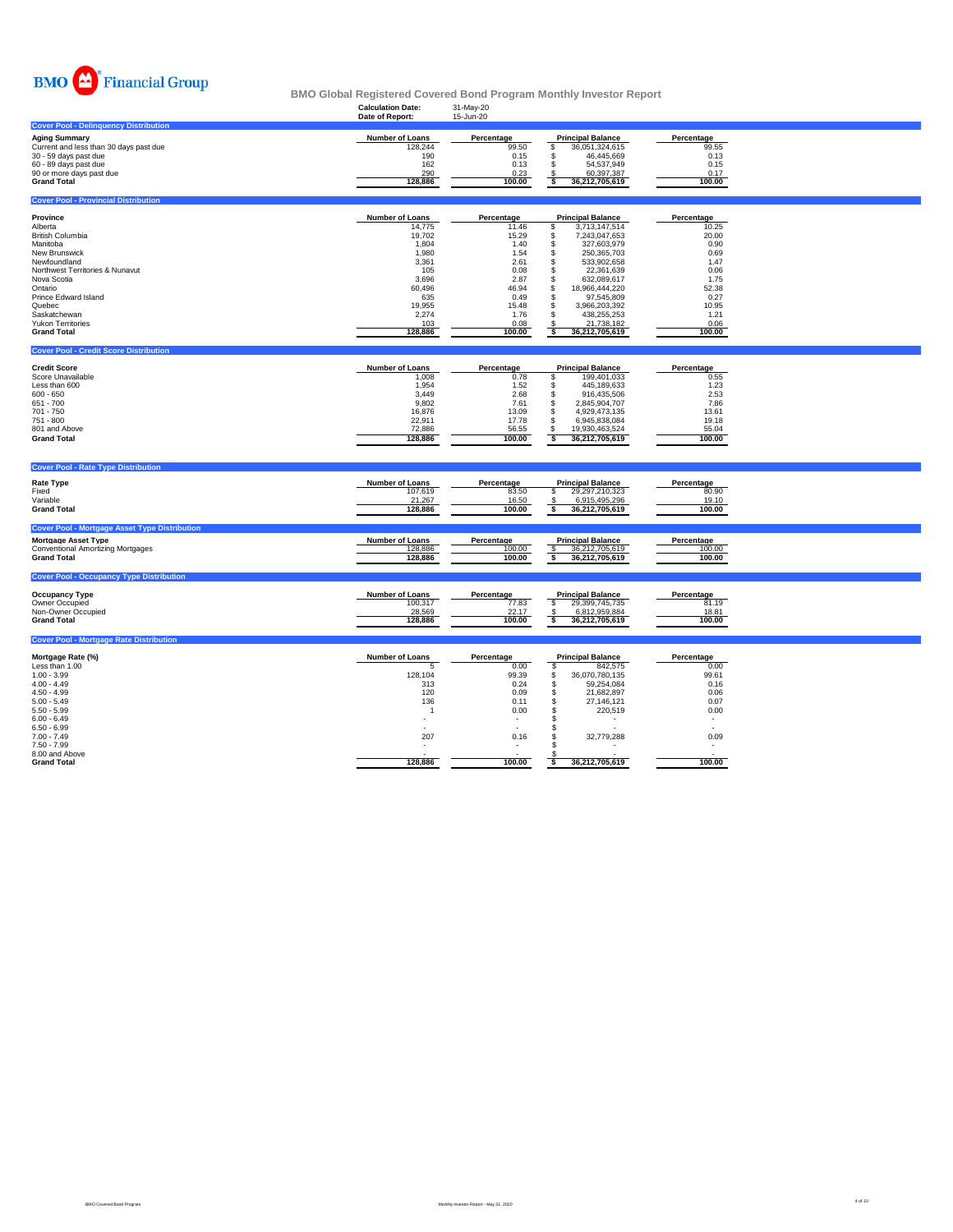

| <b>Calculation Date:</b>                                                                                                             | 31-May-20                                                                                                                |                                                                                                                                                                                                                                                                                                                  |                                                                                                                                               |                                         |
|--------------------------------------------------------------------------------------------------------------------------------------|--------------------------------------------------------------------------------------------------------------------------|------------------------------------------------------------------------------------------------------------------------------------------------------------------------------------------------------------------------------------------------------------------------------------------------------------------|-----------------------------------------------------------------------------------------------------------------------------------------------|-----------------------------------------|
|                                                                                                                                      |                                                                                                                          |                                                                                                                                                                                                                                                                                                                  |                                                                                                                                               |                                         |
| <b>Number of Loans</b><br>128,244<br>190<br>162<br>290<br>128,886                                                                    | Percentage<br>99.50<br>0.15<br>0.13<br>0.23<br>100.00                                                                    | <b>Principal Balance</b><br>\$<br>36,051,324,615<br>46,445,669<br>S.<br>\$<br>54,537,949<br>60,397,387<br>-\$<br>36,212,705,619<br>s                                                                                                                                                                             | Percentage<br>99.55<br>0.13<br>0.15<br>0.17<br>100.00                                                                                         |                                         |
|                                                                                                                                      |                                                                                                                          |                                                                                                                                                                                                                                                                                                                  |                                                                                                                                               |                                         |
| Number of Loans<br>14,775<br>19,702<br>1,804<br>1,980<br>3,361<br>105<br>3.696<br>60,496<br>635<br>19,955<br>2,274<br>103<br>128,886 | Percentage<br>11.46<br>15.29<br>1.40<br>1.54<br>2.61<br>0.08<br>2.87<br>46.94<br>0.49<br>15.48<br>1.76<br>0.08<br>100.00 | <b>Principal Balance</b><br>3,713,147,514<br>S<br>7,243,047,653<br>\$<br>327,603,979<br>\$<br>250,365,703<br>\$<br>\$<br>533,902,658<br>\$<br>22,361,639<br>\$<br>632,089,617<br>\$<br>18,966,444,220<br>\$<br>97,545,809<br>\$<br>3,966,203,392<br>s<br>438,255,253<br>\$<br>21,738,182<br>36,212,705,619<br>-S | Percentage<br>10.25<br>20.00<br>0.90<br>0.69<br>1.47<br>0.06<br>1.75<br>52.38<br>0.27<br>10.95<br>1.21<br>0.06<br>100.00                      |                                         |
|                                                                                                                                      |                                                                                                                          |                                                                                                                                                                                                                                                                                                                  |                                                                                                                                               |                                         |
| <b>Number of Loans</b><br>1,008<br>1,954<br>3,449<br>9,802<br>16,876<br>22,911<br>72.886<br>128,886                                  | Percentage<br>0.78<br>1.52<br>2.68<br>7.61<br>13.09<br>17.78<br>56.55<br>100.00                                          | <b>Principal Balance</b><br>\$<br>199,401,033<br>\$<br>445,189,633<br>\$<br>916,435,506<br>\$<br>2,845,904,707<br>4,929,473,135<br>\$<br>\$<br>6,945,838,084<br>\$.<br>19,930,463,524<br>36,212,705,619<br>s                                                                                                     | Percentage<br>0.55<br>1.23<br>2.53<br>7.86<br>13.61<br>19.18<br>55.04<br>100.00                                                               |                                         |
|                                                                                                                                      |                                                                                                                          |                                                                                                                                                                                                                                                                                                                  |                                                                                                                                               |                                         |
| <b>Number of Loans</b><br>107.619<br>21,267<br>128,886                                                                               | Percentage<br>83.50<br>16.50<br>100.00                                                                                   | <b>Principal Balance</b><br>s<br>29,297,210,323<br>\$<br>6.915.495.296<br>s<br>36,212,705,619                                                                                                                                                                                                                    | Percentage<br>80.90<br>19.10<br>100.00                                                                                                        |                                         |
| Number of Loans<br>128,886<br>128,886                                                                                                | Percentage<br>100.00<br>100.00                                                                                           | <b>Principal Balance</b><br>36,212,705,619<br>s<br>36,212,705,619                                                                                                                                                                                                                                                | Percentage<br>100.00<br>100.00                                                                                                                |                                         |
|                                                                                                                                      |                                                                                                                          |                                                                                                                                                                                                                                                                                                                  |                                                                                                                                               |                                         |
| Number of Loans<br>100,317<br>28,569<br>128,886                                                                                      | Percentage<br>77.83<br>22.17<br>100.00                                                                                   | <b>Principal Balance</b><br>\$<br>29,399,745,735<br>6,812,959,884<br>\$<br>36,212,705,619<br>s                                                                                                                                                                                                                   | Percentage<br>81.19<br>18.81<br>100.00                                                                                                        |                                         |
|                                                                                                                                      |                                                                                                                          |                                                                                                                                                                                                                                                                                                                  |                                                                                                                                               |                                         |
| <b>Number of Loans</b><br>5<br>128,104<br>313<br>120<br>136<br>$\overline{1}$<br>$\overline{\phantom{a}}$<br>207<br>128,886          | Percentage<br>0.00<br>99.39<br>0.24<br>0.09<br>0.11<br>0.00<br>$\overline{\phantom{a}}$<br>0.16                          | <b>Principal Balance</b><br>\$<br>842,575<br>\$<br>36,070,780,135<br>\$<br>59,254,084<br>\$<br>21,682,897<br>$\mathsf{\$}$<br>27,146,121<br><b>S</b><br>220,519<br>S<br>s<br>\$<br>32,779,288<br>-S                                                                                                              | Percentage<br>0.00<br>99.61<br>0.16<br>0.06<br>0.07<br>0.00<br>$\overline{\phantom{a}}$<br>$\overline{a}$<br>0.09<br>$\overline{\phantom{a}}$ |                                         |
|                                                                                                                                      | Date of Report:                                                                                                          | 15-Jun-20                                                                                                                                                                                                                                                                                                        |                                                                                                                                               | 100.00<br>100.00<br>36,212,705,619<br>s |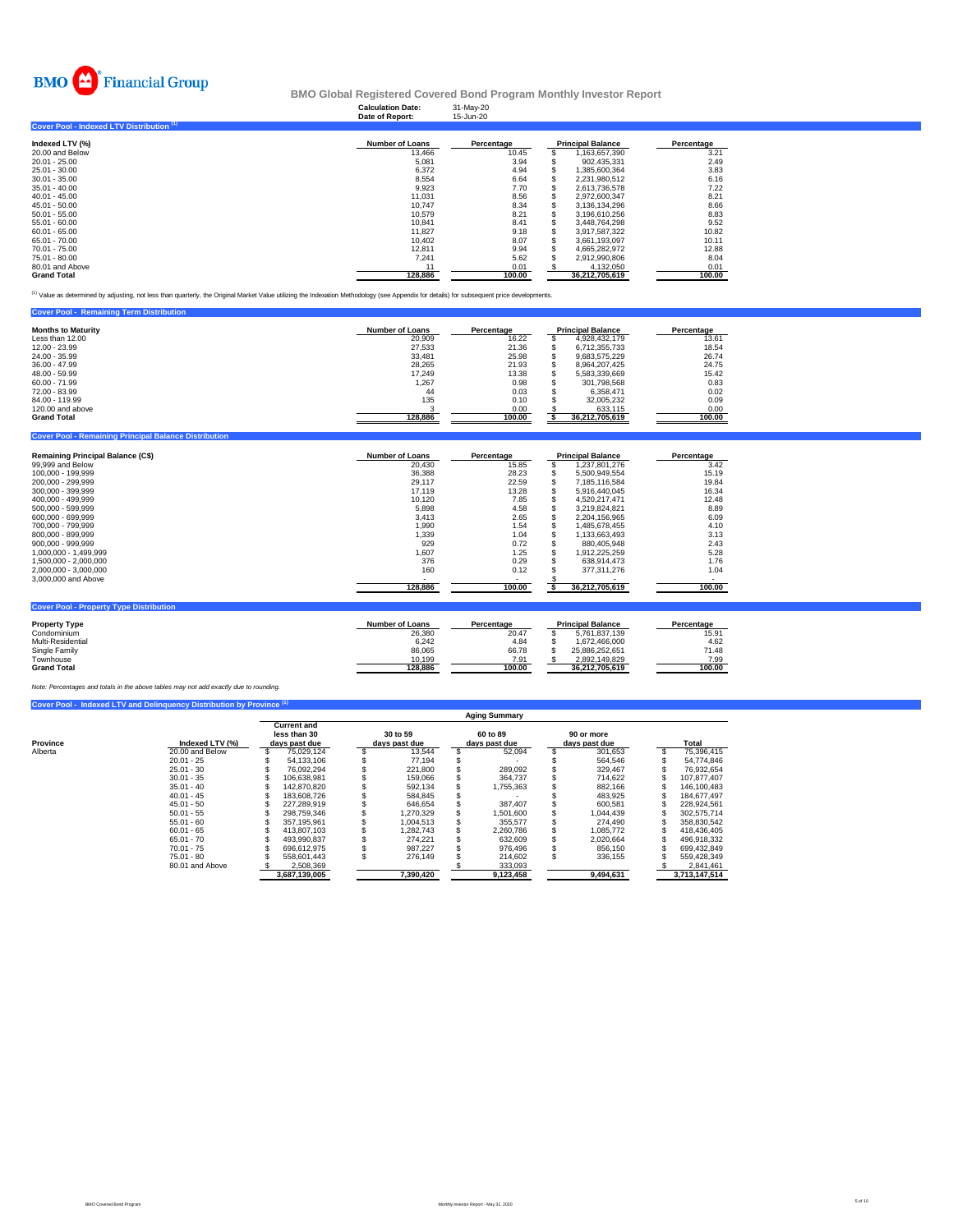

## **Calculation Date:** 31-May-20 **BMO Global Registered Covered Bond Program Monthly Investor Report**

|                                           | Date of Report:        | 15-Jun-20  |   |                          |            |
|-------------------------------------------|------------------------|------------|---|--------------------------|------------|
| Cover Pool - Indexed LTV Distribution (1) |                        |            |   |                          |            |
| Indexed LTV (%)                           | <b>Number of Loans</b> | Percentage |   | <b>Principal Balance</b> | Percentage |
| 20.00 and Below                           | 13.466                 | 10.45      |   | .163.657.390             | 3.21       |
| $20.01 - 25.00$                           | 5.081                  | 3.94       |   | 902.435.331              | 2.49       |
| 25.01 - 30.00                             | 6.372                  | 4.94       | ъ | 1.385.600.364            | 3.83       |
| $30.01 - 35.00$                           | 8.554                  | 6.64       |   | 2.231.980.512            | 6.16       |
| $35.01 - 40.00$                           | 9.923                  | 7.70       |   | 2.613.736.578            | 7.22       |
| $40.01 - 45.00$                           | 11.031                 | 8.56       |   | 2.972.600.347            | 8.21       |
| 45.01 - 50.00                             | 10.747                 | 8.34       |   | 3.136.134.296            | 8.66       |
| $50.01 - 55.00$                           | 10.579                 | 8.21       |   | 3.196.610.256            | 8.83       |
| 55.01 - 60.00                             | 10.841                 | 8.41       |   | 3.448.764.298            | 9.52       |
| $60.01 - 65.00$                           | 11.827                 | 9.18       |   | 3,917,587,322            | 10.82      |
| 65.01 - 70.00                             | 10.402                 | 8.07       |   | 3.661.193.097            | 10.11      |
| 70.01 - 75.00                             | 12.811                 | 9.94       |   | 4.665.282.972            | 12.88      |
| 75.01 - 80.00                             | 7,241                  | 5.62       |   | 2,912,990,806            | 8.04       |
| 80.01 and Above                           | 11                     | 0.01       |   | 4.132.050                | 0.01       |
| <b>Grand Total</b>                        | 128.886                | 100.00     |   | 36.212.705.619           | 100.00     |

(1) Value as determined by adjusting, not less than quarterly, the Original Market Value utilizing the Indexation Methodology (see Appendix for details) for subsequent price developments.

| <b>Principal Balance</b><br><b>Months to Maturity</b><br><b>Number of Loans</b><br>Percentage<br>Percentage |
|-------------------------------------------------------------------------------------------------------------|
| 13.61<br>16.22<br>Less than 12.00<br>20.909<br>4.928.432.179                                                |
| 12.00 - 23.99<br>21.36<br>18.54<br>27.533<br>6.712.355.733                                                  |
| 26.74<br>24.00 - 35.99<br>33.481<br>25.98<br>9.683.575.229                                                  |
| 24.75<br>36.00 - 47.99<br>21.93<br>28.265<br>8.964.207.425                                                  |
| 13.38<br>15.42<br>48.00 - 59.99<br>17.249<br>5.583.339.669                                                  |
| 60.00 - 71.99<br>0.83<br>1,267<br>0.98<br>301.798.568                                                       |
| 0.03<br>0.02<br>72.00 - 83.99<br>44<br>6.358.471                                                            |
| 135<br>0.09<br>84.00 - 119.99<br>0.10<br>32.005.232                                                         |
| 120,00 and above<br>0.00<br>0.00<br>633.115                                                                 |
| 128,886<br><b>Grand Total</b><br>100.00<br>36,212,705,619<br>100.00                                         |

| <b>Remaining Principal Balance (C\$)</b>       | <b>Number of Loans</b> | Percentage           | <b>Principal Balance</b> | Percentage           |
|------------------------------------------------|------------------------|----------------------|--------------------------|----------------------|
| 99,999 and Below                               | 20,430                 | 15.85                | 1.237.801.276            | 3.42                 |
| 100.000 - 199.999                              | 36.388                 | 28.23                | 5.500.949.554            | 15.19                |
| 200,000 - 299,999                              | 29,117                 | 22.59                | 7,185,116,584            | 19.84                |
| 300.000 - 399.999                              | 17.119                 | 13.28                | 5.916.440.045            | 16.34                |
| 400.000 - 499.999                              | 10.120                 | 7.85                 | 4.520.217.471            | 12.48                |
| 500.000 - 599.999                              | 5.898                  | 4.58                 | 3.219.824.821            | 8.89                 |
| 600.000 - 699.999                              | 3.413                  | 2.65                 | 2.204.156.965            | 6.09                 |
| 700.000 - 799.999                              | 1.990                  | 1.54                 | 1.485.678.455            | 4.10                 |
| 800.000 - 899.999                              | 1,339                  | 1.04                 | 1,133,663,493            | 3.13                 |
| 900.000 - 999.999                              | 929                    | 0.72                 | 880.405.948              | 2.43                 |
| 1.000.000 - 1.499.999                          | 1,607                  | 1.25                 | 1,912,225,259            | 5.28                 |
| 1.500.000 - 2.000.000                          | 376                    | 0.29                 | 638.914.473              | 1.76                 |
| 2.000.000 - 3.000.000                          | 160                    | 0.12                 | 377.311.276              | 1.04                 |
| 3,000,000 and Above                            |                        |                      |                          | $\sim$               |
|                                                | 128,886                | 100.00               | 36,212,705,619           | 100.00               |
| <b>Cover Pool - Property Type Distribution</b> |                        |                      |                          |                      |
| <b>Property Type</b>                           | <b>Number of Loans</b> | Percentage           | <b>Principal Balance</b> | Percentage           |
| Condominium                                    | 26,380                 | 20.47                | 5.761.837.139            | 15.91                |
| .                                              | - - - -                | $\sim$ $\sim$ $\sim$ | .                        | $\sim$ $\sim$ $\sim$ |

| 1.0000117.1800     | בווטטם וט וספוווואו | י טויטטוועש |                | י טו טעוועשע |
|--------------------|---------------------|-------------|----------------|--------------|
| Condominium        | 26.380              | 20.47       | 5.761.837.139  | 15.91        |
| Multi-Residential  | 6.242               | 4.84        | 1.672.466.000  | 4.62         |
| Single Family      | 86.065              | 66.78       | 25.886.252.651 | 71.48        |
| Townhouse          | 10.199              | 7.91        | 2.892.149.829  | 7.99         |
| <b>Grand Total</b> | 128.886             | 100.00      | 36.212.705.619 | 100.00       |
|                    |                     |             |                |              |

*Note: Percentages and totals in the above tables may not add exactly due to rounding.*

**ng Principal Bal** 

|                      | Cover Pool - Indexed LTV and Delinguency Distribution by Province (1) |                                                     |               |  |                           |           |  |                           |  |                             |  |               |  |
|----------------------|-----------------------------------------------------------------------|-----------------------------------------------------|---------------|--|---------------------------|-----------|--|---------------------------|--|-----------------------------|--|---------------|--|
| <b>Aging Summary</b> |                                                                       |                                                     |               |  |                           |           |  |                           |  |                             |  |               |  |
| Province             | Indexed LTV (%)                                                       | <b>Current and</b><br>less than 30<br>days past due |               |  | 30 to 59<br>days past due |           |  | 60 to 89<br>days past due |  | 90 or more<br>days past due |  | <b>Total</b>  |  |
| Alberta              | 20.00 and Below                                                       |                                                     | 75.029.124    |  |                           | 13.544    |  | 52.094                    |  | 301.653                     |  | 75.396.415    |  |
|                      | $20.01 - 25$                                                          |                                                     | 54.133.106    |  |                           | 77.194    |  |                           |  | 564.546                     |  | 54.774.846    |  |
|                      | $25.01 - 30$                                                          |                                                     | 76.092.294    |  |                           | 221,800   |  | 289.092                   |  | 329.467                     |  | 76.932.654    |  |
|                      | $30.01 - 35$                                                          |                                                     | 106.638.981   |  |                           | 159,066   |  | 364.737                   |  | 714.622                     |  | 107.877.407   |  |
|                      | $35.01 - 40$                                                          |                                                     | 142.870.820   |  |                           | 592.134   |  | 1,755,363                 |  | 882.166                     |  | 146.100.483   |  |
|                      | $40.01 - 45$                                                          |                                                     | 183,608,726   |  |                           | 584.845   |  |                           |  | 483.925                     |  | 184.677.497   |  |
|                      | $45.01 - 50$                                                          |                                                     | 227.289.919   |  |                           | 646.654   |  | 387.407                   |  | 600.581                     |  | 228.924.561   |  |
|                      | $50.01 - 55$                                                          |                                                     | 298.759.346   |  |                           | 1.270.329 |  | 1,501,600                 |  | 1.044.439                   |  | 302.575.714   |  |
|                      | $55.01 - 60$                                                          |                                                     | 357.195.961   |  |                           | 1.004.513 |  | 355.577                   |  | 274.490                     |  | 358.830.542   |  |
|                      | $60.01 - 65$                                                          |                                                     | 413.807.103   |  |                           | 1.282.743 |  | 2.260.786                 |  | 1.085.772                   |  | 418.436.405   |  |
|                      | $65.01 - 70$                                                          |                                                     | 493.990.837   |  |                           | 274.221   |  | 632.609                   |  | 2.020.664                   |  | 496.918.332   |  |
|                      | $70.01 - 75$                                                          |                                                     | 696.612.975   |  |                           | 987.227   |  | 976.496                   |  | 856.150                     |  | 699.432.849   |  |
|                      | $75.01 - 80$                                                          |                                                     | 558,601,443   |  |                           | 276.149   |  | 214.602                   |  | 336.155                     |  | 559.428.349   |  |
|                      | 80.01 and Above                                                       |                                                     | 2.508.369     |  |                           |           |  | 333.093                   |  |                             |  | 2.841.461     |  |
|                      |                                                                       |                                                     | 3.687.139.005 |  |                           | 7,390,420 |  | 9,123,458                 |  | 9.494.631                   |  | 3.713.147.514 |  |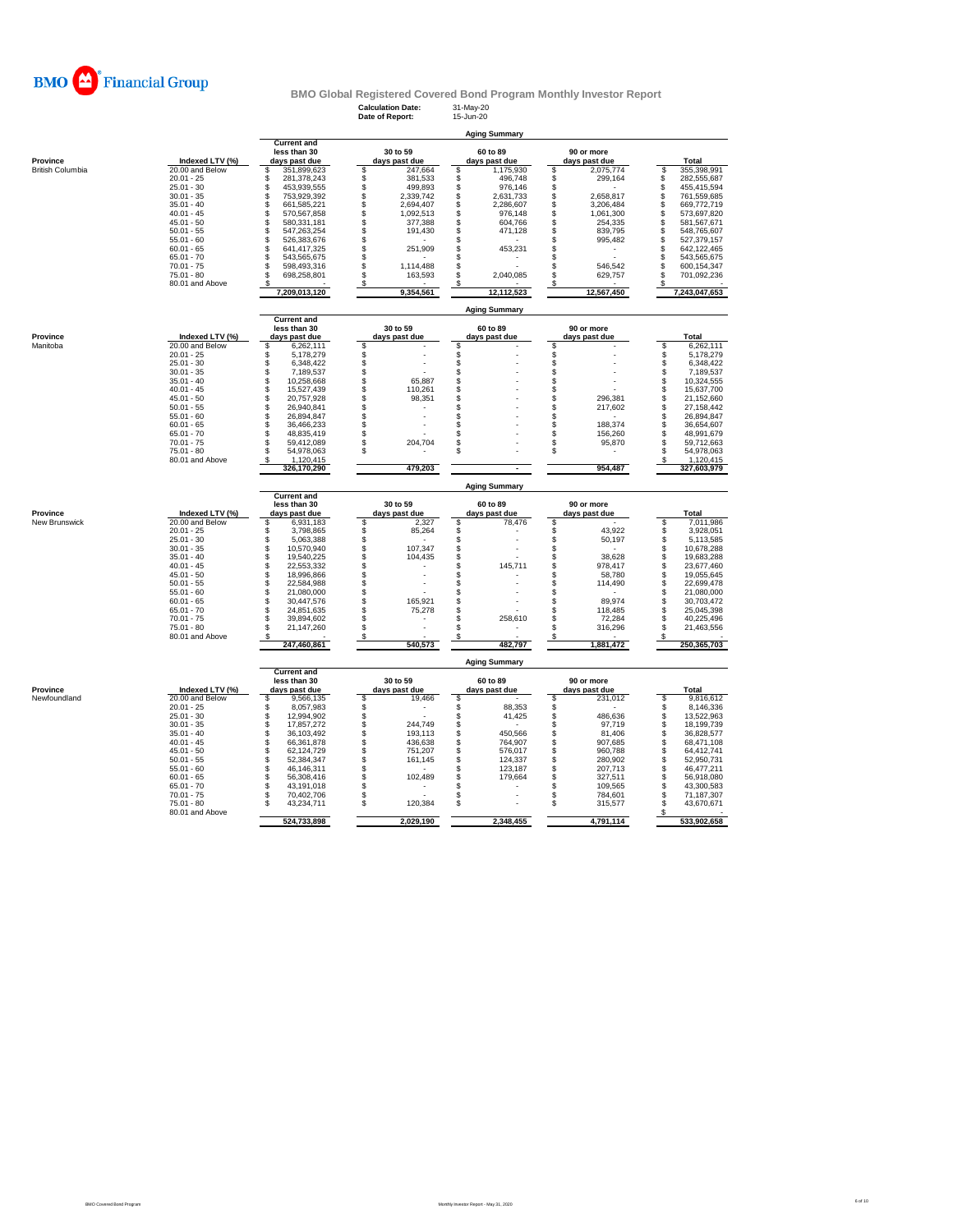

# **BMO Global Registered Covered Bond Program Monthly Investor Report**<br>Calculation Date: 31-May-20<br>Date of Report: 15-Jun-20

**Calculation Date:** 31-May-20 **Date of Report:** 15-Jun-20

|                         |                                 | <b>Aging Summary</b>                                |                                   |                                    |                                    |                                        |  |  |
|-------------------------|---------------------------------|-----------------------------------------------------|-----------------------------------|------------------------------------|------------------------------------|----------------------------------------|--|--|
| Province                | Indexed LTV (%)                 | <b>Current and</b><br>less than 30<br>days past due | 30 to 59<br>days past due         | 60 to 89<br>days past due          | 90 or more<br>days past due        | Total                                  |  |  |
| <b>British Columbia</b> | 20.00 and Below                 | \$<br>351,899,623                                   | \$<br>247,664                     | \$<br>1,175,930                    | 2,075,774<br>\$                    | 355,398,991<br>S                       |  |  |
|                         | $20.01 - 25$                    | S<br>281,378,243                                    | \$<br>381,533                     | \$<br>496,748                      | S<br>299,164                       | \$<br>282,555,687                      |  |  |
|                         | $25.01 - 30$                    | S<br>453.939.555                                    | \$<br>499.893                     | \$<br>976,146                      | S                                  | \$<br>455,415,594                      |  |  |
|                         | $30.01 - 35$<br>$35.01 - 40$    | \$<br>753,929,392<br>\$<br>661,585,221              | 2,339,742<br>2,694,407            | \$<br>2,631,733<br>\$<br>2,286,607 | 2,658,817<br>\$<br>\$<br>3,206,484 | \$<br>761,559,685<br>\$<br>669,772,719 |  |  |
|                         | $40.01 - 45$                    | \$<br>570,567,858                                   | \$\$\$\$\$<br>1,092,513           | \$<br>976,148                      | \$<br>1,061,300                    | \$<br>573,697,820                      |  |  |
|                         | $45.01 - 50$                    | \$<br>580.331.181                                   | 377,388                           | \$<br>604.766                      | \$<br>254,335                      | \$<br>581,567,671                      |  |  |
|                         | $50.01 - 55$                    | \$<br>547,263,254                                   | 191,430                           | \$<br>471,128                      | S<br>839,795                       | \$<br>548,765,607                      |  |  |
|                         | $55.01 - 60$                    | \$<br>526,383,676                                   |                                   | \$                                 | S<br>995,482                       | \$<br>527,379,157                      |  |  |
|                         | $60.01 - 65$                    | \$<br>641,417,325                                   | \$<br>251,909                     | \$<br>453,231                      | S                                  | \$<br>642,122,465                      |  |  |
|                         | $65.01 - 70$                    | \$<br>543,565,675                                   | \$                                | \$                                 | S                                  | \$<br>543,565,675                      |  |  |
|                         | $70.01 - 75$                    | \$<br>598,493,316                                   | \$<br>1,114,488<br>ś              | \$                                 | S<br>546,542                       | \$<br>600,154,347                      |  |  |
|                         | $75.01 - 80$<br>80.01 and Above | 698,258,801<br>\$<br>s                              | 163,593                           | \$<br>2,040,085                    | \$<br>629,757                      | \$<br>701,092,236<br>\$                |  |  |
|                         |                                 | 7,209,013,120                                       | -\$<br>9,354,561                  | -\$<br>12.112.523                  | \$<br>12,567,450                   | 7,243,047,653                          |  |  |
|                         |                                 |                                                     |                                   | <b>Aging Summary</b>               |                                    |                                        |  |  |
|                         |                                 | <b>Current and</b><br>less than 30                  | 30 to 59                          | 60 to 89                           | 90 or more                         |                                        |  |  |
| Province                | Indexed LTV (%)                 | days past due                                       | days past due                     | days past due                      | days past due                      | Total                                  |  |  |
| Manitoba                | 20.00 and Below                 | \$<br>6,262,111                                     |                                   | \$                                 | \$                                 | \$<br>6,262,111                        |  |  |
|                         | $20.01 - 25$                    | \$<br>5,178,279                                     | \$\$\$\$                          |                                    | \$                                 | \$<br>5,178,279                        |  |  |
|                         | $25.01 - 30$                    | \$<br>6,348,422                                     |                                   | \$                                 | \$                                 | \$<br>6,348,422                        |  |  |
|                         | $30.01 - 35$                    | \$<br>7,189,537                                     |                                   | \$                                 | \$                                 | \$<br>7,189,537                        |  |  |
|                         | $35.01 - 40$                    | \$<br>10,258,668                                    | \$\$\$<br>65,887                  | \$                                 | \$                                 | \$<br>10,324,555                       |  |  |
|                         | $40.01 - 45$<br>$45.01 - 50$    | \$<br>15,527,439<br>\$                              | 110,261                           | \$                                 | \$<br>\$                           | Ŝ<br>15,637,700<br>\$                  |  |  |
|                         | $50.01 - 55$                    | 20,757,928<br>\$<br>26,940,841                      | 98,351<br>\$                      | \$                                 | 296,381<br>\$<br>217,602           | 21,152,660<br>\$<br>27,158,442         |  |  |
|                         | $55.01 - 60$                    | \$<br>26,894,847                                    | \$                                | \$                                 | \$                                 | \$<br>26,894,847                       |  |  |
|                         | $60.01 - 65$                    | \$<br>36,466,233                                    |                                   | \$                                 | \$<br>188,374                      | S<br>36,654,607                        |  |  |
|                         | $65.01 - 70$                    | \$<br>48,835,419                                    | \$                                | \$                                 | \$<br>156,260                      | \$<br>48,991,679                       |  |  |
|                         | $70.01 - 75$                    | \$<br>59,412,089                                    | \$<br>204,704                     | \$                                 | s<br>95,870                        | \$<br>59,712,663                       |  |  |
|                         | $75.01 - 80$                    | 54,978,063<br>S                                     | \$                                | \$                                 | \$                                 | 54,978,063<br>S                        |  |  |
|                         | 80.01 and Above                 | 1,120,415                                           |                                   |                                    |                                    | 1,120,415                              |  |  |
|                         |                                 | 326,170,290                                         | 479,203                           | $\overline{\phantom{a}}$           | 954,487                            | 327,603,979                            |  |  |
|                         |                                 | <b>Current and</b>                                  |                                   | <b>Aging Summary</b>               |                                    |                                        |  |  |
| Province                | Indexed LTV (%)                 | less than 30<br>days past due                       | 30 to 59<br>days past due         | 60 to 89<br>days past due          | 90 or more                         | Total                                  |  |  |
| New Brunswick           | 20.00 and Below                 | 6,931,183<br>\$                                     | 2,327                             | \$<br>78,476                       | days past due<br>\$                | 7,011,986<br>S                         |  |  |
|                         | $20.01 - 25$                    | \$<br>3,798,865                                     | \$<br>85,264                      | $\dot{\mathbb{S}}$                 | s<br>43,922                        | 3,928,051<br>S                         |  |  |
|                         | $25.01 - 30$                    | $\hat{\mathbb{S}}$<br>5,063,388                     | \$                                | \$                                 | s<br>50,197                        | 5,113,585<br>\$                        |  |  |
|                         | $30.01 - 35$                    | 10.570.940<br>\$                                    | 107.347                           | \$                                 | S                                  | \$<br>10,678,288                       |  |  |
|                         | $35.01 - 40$                    | \$<br>19,540,225                                    | \$\$<br>104,435                   | \$                                 | S<br>38,628                        | \$<br>19,683,288                       |  |  |
|                         | $40.01 - 45$                    | \$<br>22,553,332                                    |                                   | $\ddot{s}$<br>145,711              | \$<br>978,417                      | \$<br>23,677,460                       |  |  |
|                         | $45.01 - 50$                    | \$<br>18,996,866                                    | \$                                | \$                                 | s<br>58,780                        | \$<br>19,055,645<br>Ŝ                  |  |  |
|                         | $50.01 - 55$<br>$55.01 - 60$    | \$<br>22.584.988<br>\$<br>21,080,000                | \$                                | \$<br>\$                           | S<br>114,490<br>s                  | 22.699.478<br>\$<br>21,080,000         |  |  |
|                         | $60.01 - 65$                    | \$<br>30,447,576                                    | \$<br>165,921                     | \$                                 | s<br>89,974                        | 30,703,472<br>\$                       |  |  |
|                         | $65.01 - 70$                    | \$<br>24,851,635                                    | Ś<br>75,278                       | \$                                 | \$<br>118,485                      | \$<br>25,045,398                       |  |  |
|                         | $70.01 - 75$                    | \$<br>39,894,602                                    | \$                                | \$<br>258,610                      | s<br>72.284                        | Ŝ<br>40,225,496                        |  |  |
|                         | $75.01 - 80$<br>80.01 and Above | Ś<br>21,147,260                                     | \$<br>\$                          | \$                                 | \$<br>316,296                      | S<br>21,463,556                        |  |  |
|                         |                                 | 247,460,861                                         | 540,573                           | \$<br>482,797                      | \$<br>1,881,472                    | s<br>250,365,703                       |  |  |
|                         |                                 |                                                     |                                   | <b>Aging Summary</b>               |                                    |                                        |  |  |
|                         |                                 | <b>Current and</b><br>less than 30                  | 30 to 59                          | 60 to 89                           | 90 or more                         |                                        |  |  |
| Province                | Indexed LTV (%)                 | days past due                                       | days past due                     | days past due                      | days past due                      | Total                                  |  |  |
| Newfoundland            | 20.00 and Below<br>$20.01 - 25$ | \$<br>9,566,135<br>\$<br>8,057,983                  | \$<br>19,466<br>\$                | \$<br>\$<br>88,353                 | 231,012<br>\$<br>\$                | 9,816,612<br>S<br>\$<br>8,146,336      |  |  |
|                         | $25.01 - 30$                    | \$<br>12,994,902                                    |                                   | \$<br>41,425                       | \$<br>486,636                      | \$<br>13,522,963                       |  |  |
|                         | $30.01 - 35$                    | \$<br>17,857,272                                    | \$\$<br>244,749                   | \$                                 | \$<br>97,719                       | \$<br>18,199,739                       |  |  |
|                         | $35.01 - 40$                    | \$<br>36,103,492                                    | 193,113                           | \$<br>450,566                      | \$<br>81,406                       | \$<br>36,828,577                       |  |  |
|                         | $40.01 - 45$                    | \$<br>66,361,878                                    | \$<br>436,638                     | \$<br>764,907                      | S<br>907,685                       | \$<br>68,471,108                       |  |  |
|                         |                                 | \$<br>62,124,729                                    | \$<br>751,207                     | \$<br>576,017                      | \$<br>960,788                      | \$<br>64,412,741                       |  |  |
|                         | $45.01 - 50$                    |                                                     |                                   |                                    |                                    |                                        |  |  |
|                         | $50.01 - 55$                    | \$<br>52,384,347                                    | 161,145                           | \$<br>124,337                      | \$<br>280,902                      | \$<br>52,950,731                       |  |  |
|                         | $55.01 - 60$                    | \$<br>46,146,311                                    | \$                                | \$<br>123,187                      | \$<br>207,713                      | \$<br>46,477,211                       |  |  |
|                         | $60.01 - 65$                    | 56,308,416<br>\$                                    | \$<br>102,489                     | \$<br>179,664                      | \$<br>327,511                      | \$<br>56,918,080                       |  |  |
|                         | $65.01 - 70$                    | 43,191,018<br>\$                                    | \$                                | \$                                 | 109,565<br>\$                      | 43,300,583<br>\$                       |  |  |
|                         | $70.01 - 75$                    | 70,402,706<br>\$                                    |                                   | \$                                 | 784,601<br>\$                      | 71,187,307<br>\$                       |  |  |
|                         | 75.01 - 80<br>80.01 and Above   | \$<br>43,234,711<br>524,733,898                     | <b>\$</b><br>120,384<br>2,029,190 | \$<br>2,348,455                    | \$<br>315,577<br>4,791,114         | \$<br>43,670,671<br>s<br>533,902,658   |  |  |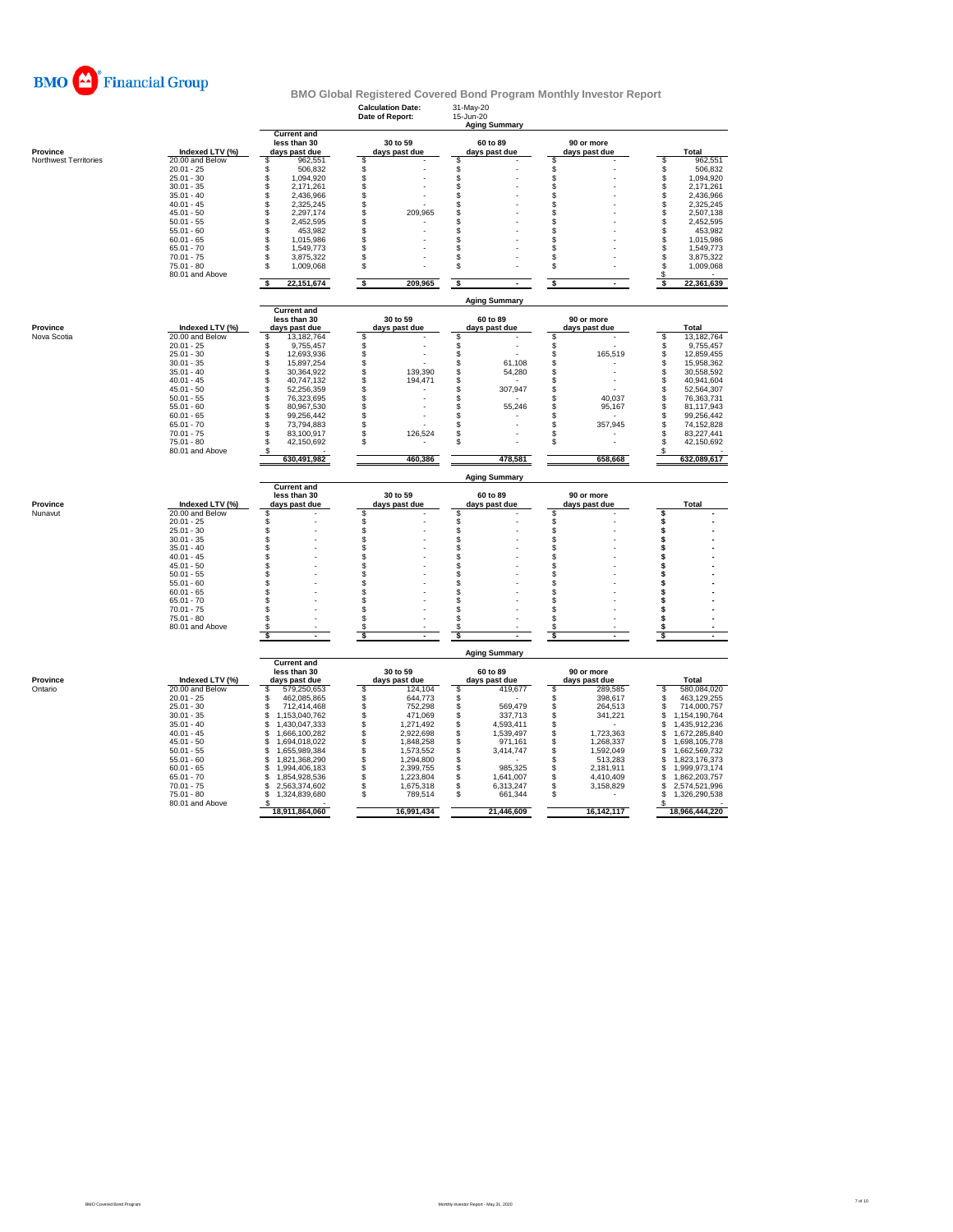

|                         |                                    |                                            |                                  |                                           | <b>BMO Global Registered Covered Bond Program Monthly Investor Report</b> |                                            |
|-------------------------|------------------------------------|--------------------------------------------|----------------------------------|-------------------------------------------|---------------------------------------------------------------------------|--------------------------------------------|
|                         |                                    |                                            | <b>Calculation Date:</b>         | 31-May-20                                 |                                                                           |                                            |
|                         |                                    |                                            | Date of Report:                  | 15-Jun-20                                 |                                                                           |                                            |
|                         |                                    |                                            |                                  | <b>Aging Summary</b>                      |                                                                           |                                            |
|                         |                                    | <b>Current and</b><br>less than 30         | 30 to 59                         | 60 to 89                                  | 90 or more                                                                |                                            |
| Province                | Indexed LTV (%)                    | days past due                              | days past due                    | days past due                             | days past due                                                             | Total                                      |
| Northwest Territories   | 20.00 and Below                    | 962,551<br>S                               | S                                | S                                         | S                                                                         | \$<br>962,551                              |
|                         | $20.01 - 25$                       | \$<br>506,832                              | \$                               | \$                                        | \$                                                                        | \$<br>506,832                              |
|                         | $25.01 - 30$                       | \$<br>1,094,920                            |                                  |                                           | s<br>Ŝ                                                                    | 1,094,920                                  |
|                         | $30.01 - 35$<br>$35.01 - 40$       | \$<br>2,171,261<br>Š.<br>2,436,966         | \$<br>\$                         | \$<br>\$                                  | s                                                                         | 2,171,261<br>2,436,966                     |
|                         | $40.01 - 45$                       | \$<br>2.325.245                            |                                  | \$                                        | S                                                                         | <b>88888</b><br>2,325,245                  |
|                         | $45.01 - 50$                       | \$<br>2,297,174                            | \$<br>209,965                    | \$                                        | S                                                                         | 2,507,138                                  |
|                         | $50.01 - 55$                       | \$<br>2,452,595                            | \$                               | $\ddot{s}$                                | S                                                                         | 2,452,595                                  |
|                         | $55.01 - 60$                       | \$<br>453,982                              | \$                               | \$                                        | s                                                                         | \$<br>453,982                              |
|                         | $60.01 - 65$<br>$65.01 - 70$       | \$<br>1,015,986<br>\$                      | \$<br>\$                         | $\hat{\mathbb{S}}$<br>\$                  | s<br>S                                                                    | \$\$<br>1,015,986                          |
|                         | $70.01 - 75$                       | 1,549,773<br>\$<br>3,875,322               | \$                               | \$                                        | \$                                                                        | 1,549,773<br>3,875,322                     |
|                         | $75.01 - 80$                       | \$<br>1,009,068                            | \$                               | $\mathbb S$                               | \$                                                                        | $\dot{\mathbb{S}}$<br>1,009,068            |
|                         | 80.01 and Above                    |                                            |                                  |                                           |                                                                           | S.                                         |
|                         |                                    | s<br>22, 151, 674                          | \$<br>209,965                    | \$                                        | s                                                                         | 22,361,639<br>\$                           |
|                         |                                    |                                            |                                  | <b>Aging Summary</b>                      |                                                                           |                                            |
|                         |                                    | <b>Current and</b>                         |                                  |                                           |                                                                           |                                            |
|                         |                                    | less than 30                               | 30 to 59                         | 60 to 89                                  | 90 or more                                                                |                                            |
| Province<br>Nova Scotia | Indexed LTV (%)<br>20.00 and Below | days past due<br>13,182,764                | days past due<br>\$              | days past due<br>\$                       | days past due<br>s                                                        | Total<br>13,182,764<br>$\bar{\$}$          |
|                         | $20.01 - 25$                       | \$<br>\$<br>9,755,457                      |                                  | Ś                                         | \$                                                                        | 9,755,457                                  |
|                         | $25.01 - 30$                       | Ś.<br>12,693,936                           | <b>88888</b>                     | \$                                        | \$<br>165,519                                                             | \$\$<br>12,859,455                         |
|                         | $30.01 - 35$                       | \$<br>15,897,254                           |                                  | $\mathsf{\$}$<br>61,108                   | S                                                                         | 15,958,362                                 |
|                         | $35.01 - 40$                       | \$<br>30,364,922                           | 139,390                          | $\frac{3}{9}$<br>54,280                   | \$                                                                        | \$<br>30,558,592                           |
|                         | $40.01 - 45$                       | \$<br>40,747,132                           | 194,471                          |                                           | s                                                                         | <b>998</b><br>40,941,604                   |
|                         | $45.01 - 50$                       | \$<br>52,256,359<br>\$                     | \$<br>\$                         | \$<br>307,947                             | S                                                                         | 52,564,307                                 |
|                         | $50.01 - 55$<br>$55.01 - 60$       | 76,323,695<br>\$<br>80,967,530             | \$                               | \$<br>\$<br>55,246                        | 40,037<br>s<br>S<br>95,167                                                | 76,363,731<br>\$<br>81,117,943             |
|                         | $60.01 - 65$                       | \$<br>99,256,442                           | \$                               | \$                                        | S                                                                         | \$<br>99,256,442                           |
|                         | $65.01 - 70$                       | \$<br>73,794,883                           | \$                               | \$                                        | 357,945<br>\$                                                             | \$<br>74,152,828                           |
|                         | $70.01 - 75$                       | \$<br>83,100,917                           | \$<br>126,524                    | \$                                        | s                                                                         | \$<br>83,227,441                           |
|                         | $75.01 - 80$                       | \$<br>42,150,692                           | \$                               | \$                                        | \$                                                                        | \$<br>42,150,692                           |
|                         | 80.01 and Above                    | s<br>630,491,982                           | 460,386                          | 478,581                                   | 658,668                                                                   | \$<br>632,089,617                          |
|                         |                                    |                                            |                                  |                                           |                                                                           |                                            |
|                         |                                    | <b>Current and</b>                         |                                  | <b>Aging Summary</b>                      |                                                                           |                                            |
|                         |                                    | less than 30                               | 30 to 59                         | 60 to 89                                  | 90 or more                                                                |                                            |
| Province                | Indexed LTV (%)                    | days past due                              | days past due                    | days past due                             | days past due                                                             | Total                                      |
| Nunavut                 | 20.00 and Below                    | \$                                         | \$                               | \$                                        | \$                                                                        | \$                                         |
|                         | $20.01 - 25$                       | \$                                         |                                  |                                           | \$                                                                        | \$                                         |
|                         | $25.01 - 30$<br>$30.01 - 35$       | \$<br>Š.                                   | \$                               | \$<br>$\ddot{\$}$                         | \$<br>\$                                                                  | \$<br>\$                                   |
|                         | $35.01 - 40$                       | \$                                         | \$                               | \$                                        | S                                                                         | \$                                         |
|                         | $40.01 - 45$                       | \$                                         | \$                               | \$                                        | s                                                                         | \$                                         |
|                         | $45.01 - 50$                       | \$                                         | \$                               | \$                                        | s                                                                         | \$                                         |
|                         | $50.01 - 55$                       | \$                                         | \$                               | S                                         | S                                                                         | \$                                         |
|                         | $55.01 - 60$                       | \$                                         | \$                               | \$                                        | S                                                                         | \$                                         |
|                         | $60.01 - 65$<br>$65.01 - 70$       | \$<br>\$                                   | \$<br>\$                         | \$<br>\$                                  | S<br>S                                                                    | \$                                         |
|                         | $70.01 - 75$                       | \$                                         | \$                               | \$                                        | S                                                                         | \$                                         |
|                         | $75.01 - 80$                       | \$                                         | S                                | S                                         | s                                                                         | \$                                         |
|                         | 80.01 and Above                    | S                                          | S                                | \$                                        | s                                                                         |                                            |
|                         |                                    | \$                                         | - \$                             | \$                                        | s                                                                         | \$                                         |
|                         |                                    |                                            |                                  | <b>Aging Summary</b>                      |                                                                           |                                            |
|                         |                                    | <b>Current and</b><br>less than 30         | 30 to 59                         | 60 to 89                                  | 90 or more                                                                |                                            |
| Province                | Indexed LTV (%)                    | days past due                              | days past due                    | days past due                             | days past due                                                             | Total                                      |
| Ontario                 | 20.00 and Below                    | 579,250,653<br>s                           | 124,104<br>S                     | 419,677<br>S                              | 289,585<br>\$                                                             | S<br>580,084,020                           |
|                         | $20.01 - 25$                       | \$<br>462,085,865                          | \$<br>644,773                    | $\ddot{s}$                                | \$<br>398,617                                                             | 463,129,255<br>\$                          |
|                         | $25.01 - 30$                       | s<br>712,414,468                           | \$<br>752.298                    | \$<br>569,479                             | \$<br>264,513                                                             | \$<br>714,000,757                          |
|                         | $30.01 - 35$<br>$35.01 - 40$       | \$<br>1,153,040,762<br>1,430,047,333<br>\$ | 471,069<br>1,271,492             | \$<br>337,713<br>$\mathbb S$<br>4,593,411 | 341,221<br>s<br>\$                                                        | \$<br>1,154,190,764<br>\$                  |
|                         | $40.01 - 45$                       | \$<br>1.666.100.282                        | \$\$<br>2.922.698                | \$<br>1.539.497                           | \$<br>1.723.363                                                           | 1,435,912,236<br>1.672.285.840<br>\$       |
|                         | $45.01 - 50$                       | 1,694,018,022<br>\$                        | \$<br>1,848,258                  | \$<br>971,161                             | \$<br>1,268,337                                                           | 1,698,105,778<br>\$                        |
|                         | $50.01 - 55$                       | \$<br>1,655,989,384                        | \$<br>1,573,552                  | \$<br>3,414,747                           | 1,592,049<br>\$                                                           | \$<br>1,662,569,732                        |
|                         | $55.01 - 60$                       | \$<br>1,821,368,290                        | \$<br>1,294,800                  | S                                         | 513,283<br>s                                                              | \$<br>1,823,176,373                        |
|                         | $60.01 - 65$                       | 1,994,406,183<br>\$                        | 2,399,755                        | \$<br>985,325                             | 2,181,911<br>\$                                                           | \$<br>1,999,973,174                        |
|                         | $65.01 - 70$                       | 1,854,928,536<br>\$                        | \$<br>1,223,804                  | \$<br>1,641,007                           | \$<br>4,410,409                                                           | 1,862,203,757<br>\$                        |
|                         | $70.01 - 75$<br>$75.01 - 80$       | \$<br>2,563,374,602<br>\$<br>1,324,839,680 | \$<br>1,675,318<br>\$<br>789,514 | \$<br>6,313,247<br>\$<br>661,344          | \$<br>3,158,829<br>S                                                      | 2,574,521,996<br>\$<br>\$<br>1,326,290,538 |
|                         | 80.01 and Above                    |                                            |                                  |                                           |                                                                           |                                            |
|                         |                                    | 18,911,864,060                             |                                  | 21,446,609                                | 16,142,117                                                                | 18,966,444,220                             |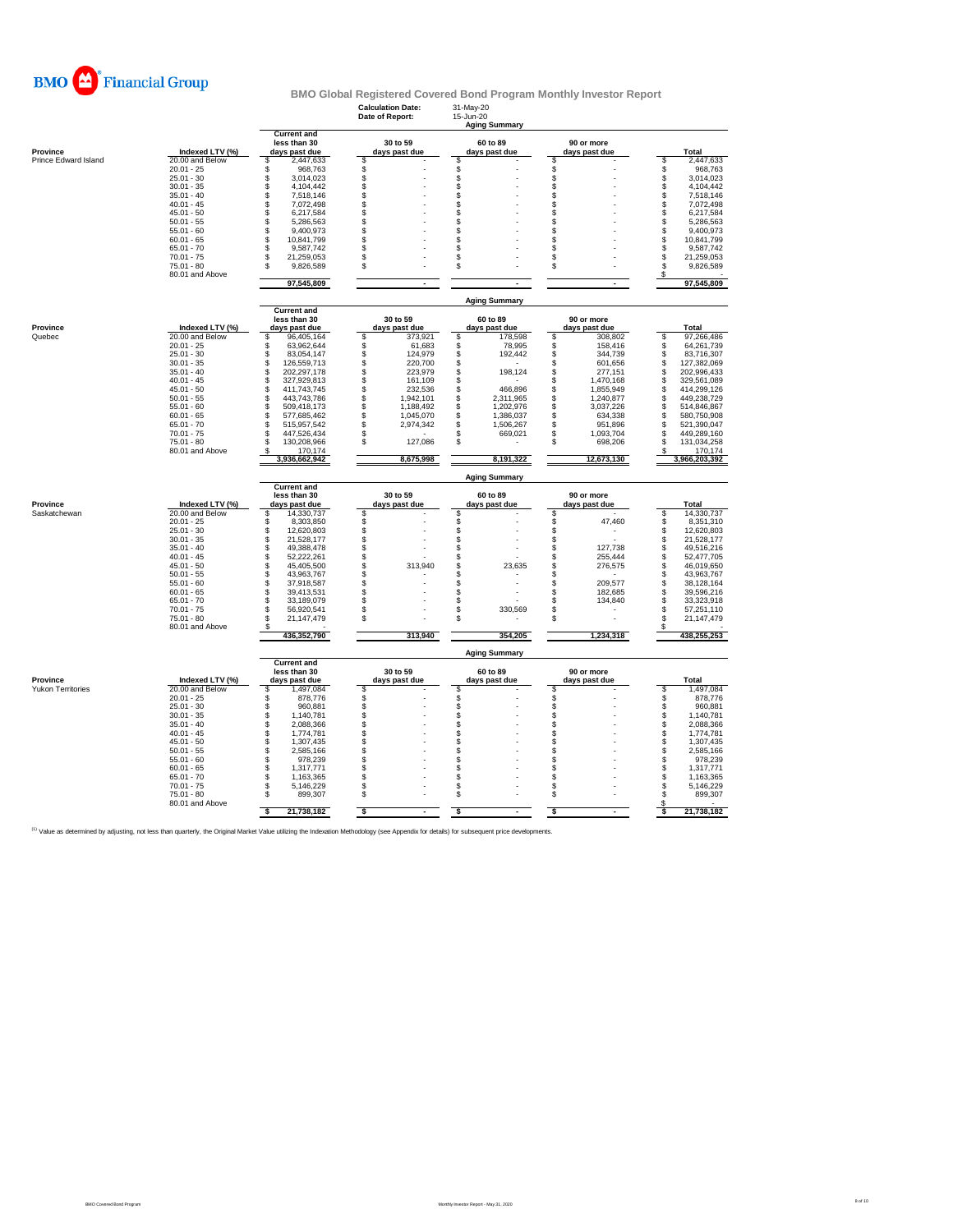

|                                      |                                    |                                                     | <b>Calculation Date:</b><br>Date of Report: | 31-May-20<br>15-Jun-20<br><b>Aging Summary</b> |                                  |                                        |
|--------------------------------------|------------------------------------|-----------------------------------------------------|---------------------------------------------|------------------------------------------------|----------------------------------|----------------------------------------|
| Province                             | Indexed LTV (%)                    | <b>Current and</b><br>less than 30<br>days past due | 30 to 59<br>days past due                   | 60 to 89<br>days past due                      | 90 or more<br>days past due      | Total                                  |
| Prince Edward Island                 | 20.00 and Below                    | 2,447,633<br>\$                                     | S                                           | \$                                             | \$                               | \$<br>2,447,633                        |
|                                      | $20.01 - 25$                       | \$<br>968,763                                       | \$                                          | \$                                             | \$                               | 968,763<br>\$                          |
|                                      | $25.01 - 30$                       | \$<br>3,014,023                                     | \$                                          | \$                                             | \$                               | \$<br>3,014,023                        |
|                                      | $30.01 - 35$<br>$35.01 - 40$       | \$<br>4,104,442<br>\$                               | Ŝ<br>\$                                     | \$<br>\$                                       | \$<br>\$                         | \$<br>4,104,442<br>7,518,146           |
|                                      | $40.01 - 45$                       | 7,518,146<br>\$<br>7,072,498                        | \$                                          | \$                                             | \$                               | \$<br>7,072,498                        |
|                                      | $45.01 - 50$                       | \$<br>6,217,584                                     | \$                                          | \$                                             | \$                               | \$<br>6,217,584                        |
|                                      | $50.01 - 55$                       | \$<br>5,286,563                                     | \$                                          | \$                                             | \$                               | \$<br>5,286,563                        |
|                                      | $55.01 - 60$                       | \$<br>9,400,973                                     | \$                                          | \$                                             | \$                               | \$<br>9,400,973                        |
|                                      | $60.01 - 65$                       | \$<br>10,841,799                                    | \$                                          | \$                                             | \$                               | 10,841,799                             |
|                                      | $65.01 - 70$                       | \$<br>9,587,742                                     | \$                                          | \$                                             | \$                               | \$<br>9,587,742                        |
|                                      | $70.01 - 75$                       | \$<br>21,259,053                                    | \$                                          | \$                                             | \$                               | \$<br>21,259,053                       |
|                                      | $75.01 - 80$<br>80.01 and Above    | \$<br>9,826,589                                     | \$                                          | \$                                             | s                                | \$<br>9,826,589<br>S                   |
|                                      |                                    | 97,545,809                                          | $\blacksquare$                              | $\blacksquare$                                 | $\overline{\phantom{a}}$         | 97,545,809                             |
|                                      |                                    | <b>Current and</b>                                  |                                             | <b>Aging Summary</b>                           |                                  |                                        |
|                                      |                                    | less than 30                                        | 30 to 59                                    | 60 to 89                                       | 90 or more                       |                                        |
| Province                             | Indexed LTV (%)                    | days past due                                       | days past due                               | days past due                                  | days past due                    | <b>Total</b>                           |
| Quebec                               | 20.00 and Below                    | \$<br>96.405.164                                    | \$.<br>373.921                              | \$<br>178.598                                  | \$<br>308.802                    | 97,266,486<br>\$                       |
|                                      | $20.01 - 25$                       | \$<br>63,962,644                                    | \$<br>61,683                                | \$<br>78,995                                   | \$<br>158,416                    | \$<br>64,261,739                       |
|                                      | $25.01 - 30$                       | \$<br>83,054,147                                    | 124,979<br>\$                               | 192,442<br>\$                                  | \$<br>344,739                    | \$<br>83,716,307                       |
|                                      | $30.01 - 35$                       | \$<br>126.559.713                                   | \$<br>220.700                               | \$                                             | 601.656<br>S                     | \$<br>127,382,069                      |
|                                      | $35.01 - 40$                       | \$<br>202,297,178                                   | \$<br>223,979                               | \$<br>198,124                                  | S<br>277,151                     | \$<br>202,996,433                      |
|                                      | $40.01 - 45$                       | \$<br>327,929,813                                   | \$<br>161,109                               | \$                                             | \$<br>1,470,168                  | \$<br>329,561,089                      |
|                                      | $45.01 - 50$                       | \$<br>411,743,745                                   | \$<br>232,536                               | \$<br>466,896                                  | \$<br>1,855,949                  | \$<br>414,299,126                      |
|                                      | $50.01 - 55$                       | \$<br>443,743,786                                   | \$<br>1,942,101                             | \$<br>2,311,965                                | \$<br>1,240,877                  | S<br>449,238,729                       |
|                                      | $55.01 - 60$                       | \$<br>509,418,173                                   | \$<br>1,188,492                             | 1,202,976<br>\$                                | \$<br>3,037,226                  | \$<br>514,846,867                      |
|                                      | $60.01 - 65$                       | \$<br>577,685,462                                   | \$<br>1,045,070                             | \$<br>1,386,037                                | \$<br>634,338                    | \$<br>580,750,908                      |
|                                      | $65.01 - 70$                       | \$<br>515,957,542                                   | \$<br>2,974,342<br>\$                       | 1,506,267<br>\$<br>\$                          | \$<br>951,896                    | \$<br>521,390,047                      |
|                                      | $70.01 - 75$<br>$75.01 - 80$       | \$<br>447,526,434<br>\$<br>130,208,966              | \$<br>127,086                               | 669,021<br>\$                                  | \$<br>1,093,704<br>\$<br>698,206 | \$<br>449,289,160<br>\$<br>131,034,258 |
|                                      | 80.01 and Above                    | 170,174<br>-\$                                      |                                             |                                                |                                  | -8<br>170,174                          |
|                                      |                                    | 3,936,662,942                                       | 8,675,998                                   | 8,191,322                                      | 12,673,130                       | 3,966,203,392                          |
|                                      |                                    | <b>Current and</b>                                  |                                             | <b>Aging Summary</b>                           |                                  |                                        |
| Province                             | Indexed LTV (%)                    | less than 30<br>days past due                       | 30 to 59<br>days past due                   | 60 to 89<br>days past due                      | 90 or more<br>days past due      | Total                                  |
| Saskatchewan                         | 20.00 and Below                    | \$<br>14,330,737                                    | \$                                          | \$                                             | \$                               | s<br>14,330,737                        |
|                                      | $20.01 - 25$                       | \$<br>8,303,850                                     | \$                                          | \$                                             | \$<br>47,460                     | \$<br>8,351,310                        |
|                                      | $25.01 - 30$                       | \$<br>12,620,803                                    | \$                                          | \$                                             | š.                               | 12,620,803<br>\$                       |
|                                      | $30.01 - 35$                       | \$<br>21,528,177                                    | \$                                          | \$                                             | \$                               | \$<br>21,528,177                       |
|                                      | $35.01 - 40$                       | \$<br>49,388,478                                    | \$<br>\$                                    | \$                                             | \$<br>127,738                    | \$<br>49,516,216                       |
|                                      | $40.01 - 45$<br>$45.01 - 50$       | \$<br>52,222,261<br>\$<br>45,405,500                | \$<br>313,940                               | \$<br>\$<br>23,635                             | \$<br>255,444<br>\$              | 52,477,705<br>S                        |
|                                      | $50.01 - 55$                       | \$<br>43,963,767                                    | \$.                                         | \$                                             | 276,575<br>\$                    | 46,019,650<br>\$<br>43.963.767         |
|                                      | $55.01 - 60$                       | \$<br>37,918,587                                    | \$                                          | \$                                             | \$<br>209,577                    | \$<br>38,128,164                       |
|                                      | $60.01 - 65$                       | \$<br>39,413,531                                    | \$                                          | \$                                             | \$<br>182,685                    | \$<br>39,596,216                       |
|                                      | $65.01 - 70$                       | \$<br>33,189,079                                    | \$                                          | \$                                             | \$<br>134,840                    | S<br>33,323,918                        |
|                                      | $70.01 - 75$                       | \$<br>56,920,541                                    | \$.                                         | \$<br>330,569                                  | \$                               | \$<br>57,251,110                       |
|                                      | 75.01 - 80<br>80.01 and Above      | \$<br>21,147,479<br>\$                              | \$                                          | \$                                             | s                                | \$<br>21,147,479<br>\$                 |
|                                      |                                    | 436,352,790                                         | 313,940                                     | 354,205                                        | 1,234,318                        | 438,255,253                            |
|                                      |                                    | <b>Current and</b>                                  |                                             | Aging Summary                                  |                                  |                                        |
|                                      |                                    | less than 30                                        | 30 to 59                                    | 60 to 89                                       | 90 or more                       |                                        |
| Province<br><b>Yukon Territories</b> | Indexed LTV (%)<br>20.00 and Below | days past due<br>1,497,084                          | days past due<br>S                          | days past due<br>S                             | days past due                    | Total<br>1,497,084                     |
|                                      | $20.01 - 25$                       | \$<br>\$<br>878,776                                 | \$                                          | \$                                             | \$<br>\$                         | \$<br>\$<br>878,776                    |
|                                      | $25.01 - 30$                       | \$<br>960.881                                       | \$                                          | \$                                             | \$                               | \$<br>960.881                          |
|                                      | $30.01 - 35$                       | \$<br>1,140,781                                     | \$                                          | \$                                             | \$                               | \$<br>1,140,781                        |
|                                      | $35.01 - 40$                       | \$<br>2,088,366                                     | \$                                          | \$                                             | \$                               | $\mathbb S$<br>2,088,366               |
|                                      | $40.01 - 45$                       | \$<br>1,774,781                                     | \$                                          | \$                                             | \$                               | \$<br>1.774.781                        |
|                                      | $45.01 - 50$                       | \$<br>1,307,435                                     | \$                                          | \$                                             | \$                               | \$<br>1,307,435                        |
|                                      | $50.01 - 55$                       | \$<br>2,585,166                                     | \$                                          | \$                                             | \$                               | $\dot{\$}$<br>2,585,166                |
|                                      | $55.01 - 60$                       | \$<br>978,239                                       | \$                                          | \$                                             | \$                               | \$<br>978,239                          |
|                                      | $60.01 - 65$                       | \$<br>1,317,771                                     | \$                                          | \$                                             | \$                               | \$<br>1,317,771                        |
|                                      | $65.01 - 70$                       | \$<br>1,163,365                                     | \$                                          | \$                                             | \$                               | \$<br>1,163,365                        |
|                                      | $70.01 - 75$                       | \$<br>5,146,229                                     | S                                           | \$                                             | \$                               | \$<br>5,146,229                        |
|                                      | $75.01 - 80$<br>80.01 and Above    | \$<br>899,307                                       | \$                                          | \$                                             | \$                               | \$<br>899,307<br>S                     |
|                                      |                                    | s<br>21.738.182                                     | Ś                                           | Ś                                              | s                                | 21.738.182<br>s                        |

<sup>(1)</sup> Value as determined by adjusting, not less than quarterly, the Original Market Value utilizing the Indexation Methodology (see Appendix for details) for subsequent price developments.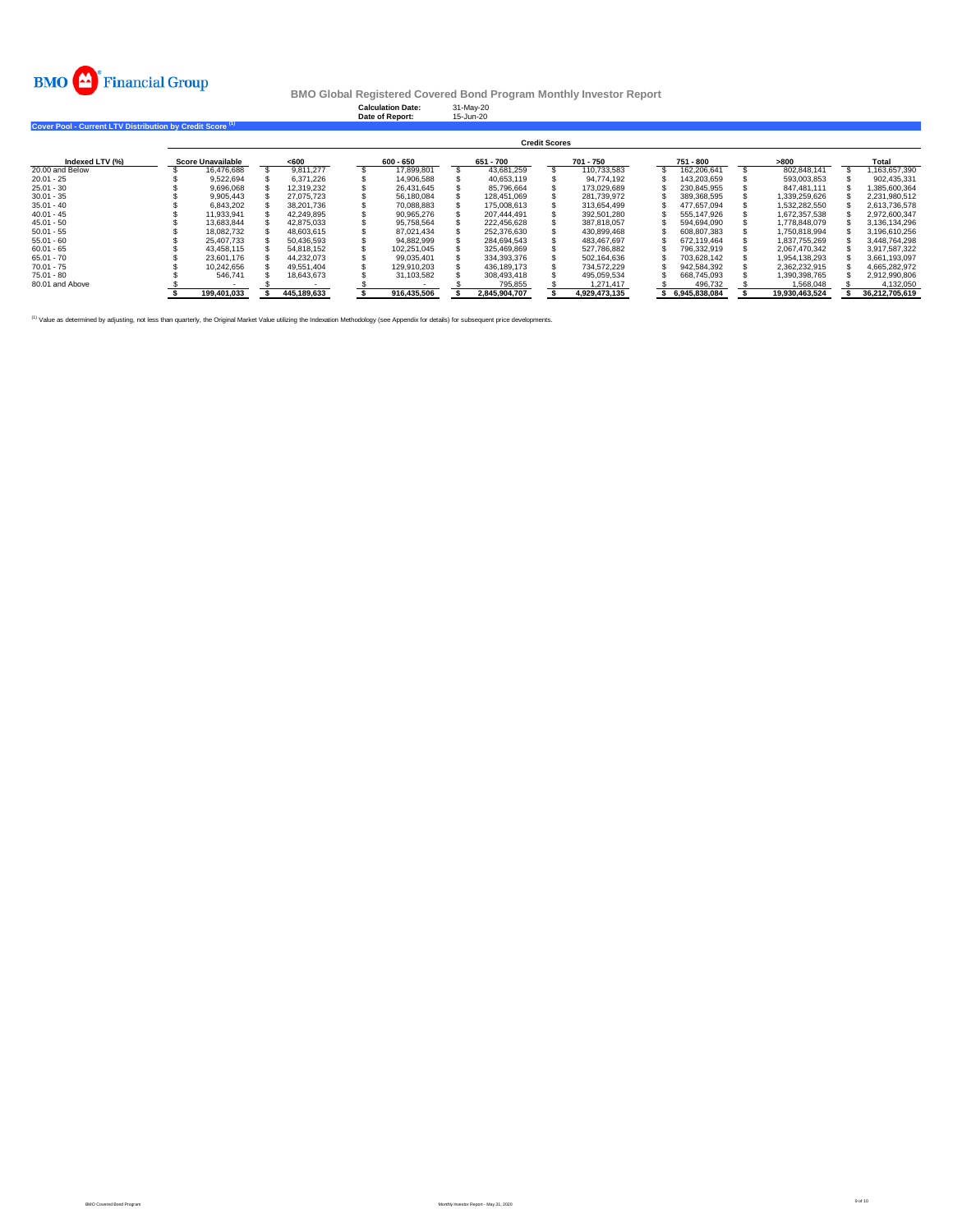

**Calculation Date:** 31-May-20 **Date of Report:** 15-Jun-20

**Cover Pool - Current LTV Distribution by Credit Score (1)** 

|                 | <b>Credit Scores</b> |                   |  |             |  |             |  |               |  |               |  |               |  |                |  |                |
|-----------------|----------------------|-------------------|--|-------------|--|-------------|--|---------------|--|---------------|--|---------------|--|----------------|--|----------------|
| Indexed LTV (%) |                      | Score Unavailable |  | $600$       |  | 600 - 650   |  | 651 - 700     |  | 701 - 750     |  | 751 - 800     |  | >800           |  | Total          |
| 20.00 and Below |                      | 16.476.688        |  | 9.811.277   |  | 17.899.801  |  | 43.681.259    |  | 110.733.583   |  | 162.206.641   |  | 802.848.141    |  | 1.163.657.390  |
| $20.01 - 25$    |                      | 9.522.694         |  | 6.371.226   |  | 14.906.588  |  | 40.653.119    |  | 94.774.192    |  | 143.203.659   |  | 593.003.853    |  | 902.435.331    |
| $25.01 - 30$    |                      | 9.696.068         |  | 12.319.232  |  | 26.431.645  |  | 85.796.664    |  | 173.029.689   |  | 230.845.955   |  | 847.481.111    |  | .385.600.364   |
| $30.01 - 35$    |                      | 9.905.443         |  | 27.075.723  |  | 56.180.084  |  | 128.451.069   |  | 281.739.972   |  | 389.368.595   |  | 1.339.259.626  |  | 2.231.980.512  |
| $35.01 - 40$    |                      | 6.843.202         |  | 38.201.736  |  | 70.088.883  |  | 175,008,613   |  | 313.654.499   |  | 477.657.094   |  | 1.532.282.550  |  | 2.613.736.578  |
| $40.01 - 45$    |                      | 11.933.941        |  | 42.249.895  |  | 90.965.276  |  | 207.444.491   |  | 392.501.280   |  | 555.147.926   |  | 1.672.357.538  |  | 2.972.600.347  |
| $45.01 - 50$    |                      | 13.683.844        |  | 42.875.033  |  | 95.758.564  |  | 222.456.628   |  | 387.818.057   |  | 594.694.090   |  | 1.778.848.079  |  | 3.136.134.296  |
| $50.01 - 55$    |                      | 18.082.732        |  | 48.603.615  |  | 87.021.434  |  | 252.376.630   |  | 430.899.468   |  | 608.807.383   |  | 1.750.818.994  |  | 3.196.610.256  |
| $55.01 - 60$    |                      | 25.407.733        |  | 50.436.593  |  | 94.882.999  |  | 284.694.543   |  | 483.467.697   |  | 672.119.464   |  | 1.837.755.269  |  | 3.448.764.298  |
| $60.01 - 65$    |                      | 43.458.115        |  | 54.818.152  |  | 102.251.045 |  | 325.469.869   |  | 527.786.882   |  | 796.332.919   |  | 2.067.470.342  |  | 3.917.587.322  |
| $65.01 - 70$    |                      | 23.601.176        |  | 44.232.073  |  | 99.035.401  |  | 334.393.376   |  | 502.164.636   |  | 703.628.142   |  | 1.954.138.293  |  | 3.661.193.097  |
| $70.01 - 75$    |                      | 10.242.656        |  | 49.551.404  |  | 129.910.203 |  | 436.189.173   |  | 734.572.229   |  | 942.584.392   |  | 2.362.232.915  |  | 4.665.282.972  |
| $75.01 - 80$    |                      | 546.741           |  | 18.643.673  |  | 31.103.582  |  | 308.493.418   |  | 495.059.534   |  | 668.745.093   |  | 1.390.398.765  |  | 2.912.990.806  |
| 80.01 and Above |                      |                   |  |             |  |             |  | 795.855       |  | 1.271.417     |  | 496.732       |  | 1.568.048      |  | 4.132.050      |
|                 |                      | 199.401.033       |  | 445.189.633 |  | 916.435.506 |  | 2.845.904.707 |  | 4.929.473.135 |  | 6.945.838.084 |  | 19.930.463.524 |  | 36.212.705.619 |

(1) Value as determined by adjusting, not less than quarterly, the Original Market Value utilizing the Indexation Methodology (see Appendix for details) for subsequent price developments.